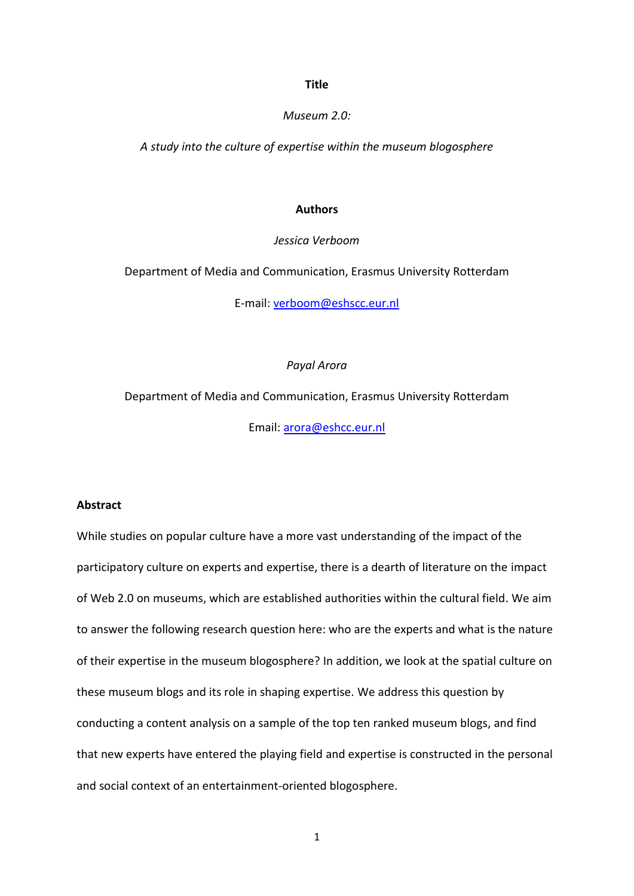## **Title**

*Museum 2.0:*

*A study into the culture of expertise within the museum blogosphere*

#### **Authors**

*Jessica Verboom* 

Department of Media and Communication, Erasmus University Rotterdam

E-mail[: verboom@eshscc.eur.nl](mailto:verboom@eshscc.eur.nl)

#### *Payal Arora*

Department of Media and Communication, Erasmus University Rotterdam Email: [arora@eshcc.eur.nl](mailto:arora@eshcc.eur.nl)

## **Abstract**

While studies on popular culture have a more vast understanding of the impact of the participatory culture on experts and expertise, there is a dearth of literature on the impact of Web 2.0 on museums, which are established authorities within the cultural field. We aim to answer the following research question here: who are the experts and what is the nature of their expertise in the museum blogosphere? In addition, we look at the spatial culture on these museum blogs and its role in shaping expertise. We address this question by conducting a content analysis on a sample of the top ten ranked museum blogs, and find that new experts have entered the playing field and expertise is constructed in the personal and social context of an entertainment-oriented blogosphere.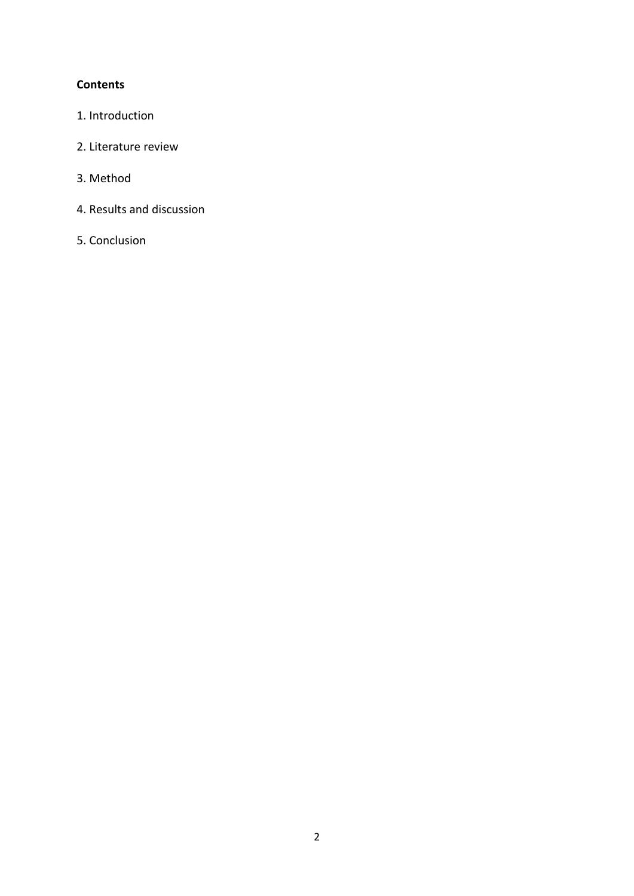## **Contents**

- 1. Introduction
- 2. Literature review
- 3. Method
- 4. Results and discussion
- 5. Conclusion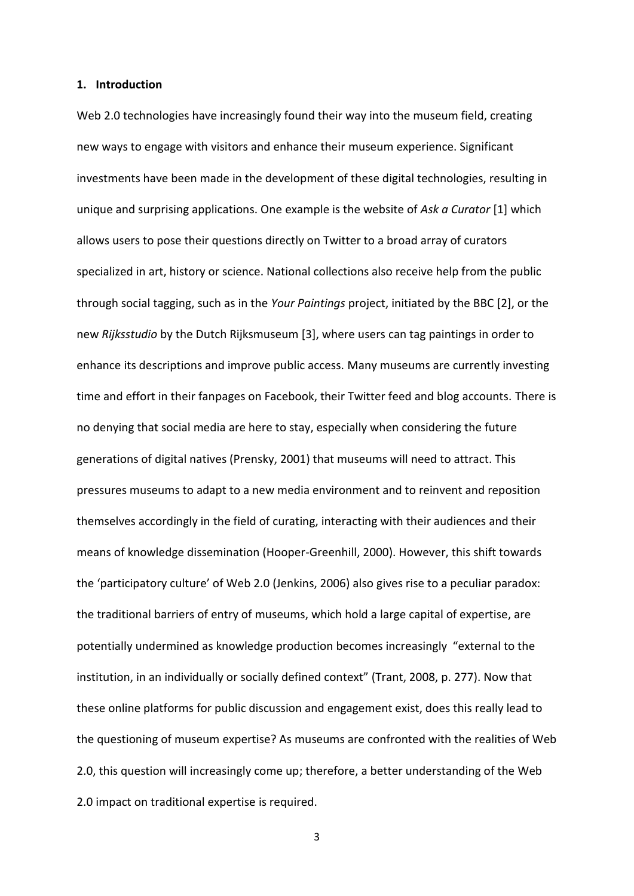### **1. Introduction**

Web 2.0 technologies have increasingly found their way into the museum field, creating new ways to engage with visitors and enhance their museum experience. Significant investments have been made in the development of these digital technologies, resulting in unique and surprising applications. One example is the website of *Ask a Curator* [1] which allows users to pose their questions directly on Twitter to a broad array of curators specialized in art, history or science. National collections also receive help from the public through social tagging, such as in the *Your Paintings* project, initiated by the BBC [2], or the new *Rijksstudio* by the Dutch Rijksmuseum [3], where users can tag paintings in order to enhance its descriptions and improve public access. Many museums are currently investing time and effort in their fanpages on Facebook, their Twitter feed and blog accounts. There is no denying that social media are here to stay, especially when considering the future generations of digital natives (Prensky, 2001) that museums will need to attract. This pressures museums to adapt to a new media environment and to reinvent and reposition themselves accordingly in the field of curating, interacting with their audiences and their means of knowledge dissemination (Hooper-Greenhill, 2000). However, this shift towards the 'participatory culture' of Web 2.0 (Jenkins, 2006) also gives rise to a peculiar paradox: the traditional barriers of entry of museums, which hold a large capital of expertise, are potentially undermined as knowledge production becomes increasingly "external to the institution, in an individually or socially defined context" (Trant, 2008, p. 277). Now that these online platforms for public discussion and engagement exist, does this really lead to the questioning of museum expertise? As museums are confronted with the realities of Web 2.0, this question will increasingly come up; therefore, a better understanding of the Web 2.0 impact on traditional expertise is required.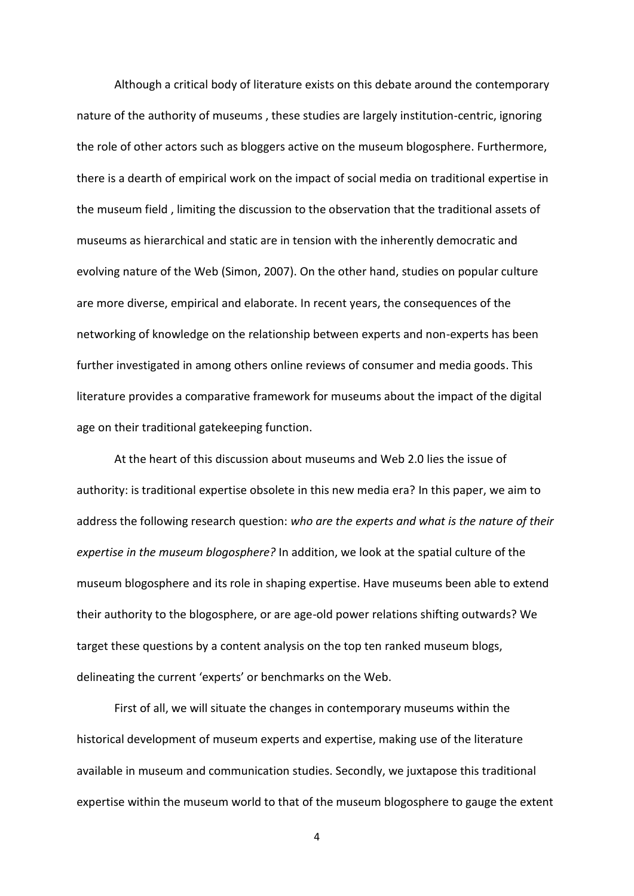Although a critical body of literature exists on this debate around the contemporary nature of the authority of museums , these studies are largely institution-centric, ignoring the role of other actors such as bloggers active on the museum blogosphere. Furthermore, there is a dearth of empirical work on the impact of social media on traditional expertise in the museum field , limiting the discussion to the observation that the traditional assets of museums as hierarchical and static are in tension with the inherently democratic and evolving nature of the Web (Simon, 2007). On the other hand, studies on popular culture are more diverse, empirical and elaborate. In recent years, the consequences of the networking of knowledge on the relationship between experts and non-experts has been further investigated in among others online reviews of consumer and media goods. This literature provides a comparative framework for museums about the impact of the digital age on their traditional gatekeeping function.

At the heart of this discussion about museums and Web 2.0 lies the issue of authority: is traditional expertise obsolete in this new media era? In this paper, we aim to address the following research question: *who are the experts and what is the nature of their expertise in the museum blogosphere?* In addition, we look at the spatial culture of the museum blogosphere and its role in shaping expertise. Have museums been able to extend their authority to the blogosphere, or are age-old power relations shifting outwards? We target these questions by a content analysis on the top ten ranked museum blogs, delineating the current 'experts' or benchmarks on the Web.

First of all, we will situate the changes in contemporary museums within the historical development of museum experts and expertise, making use of the literature available in museum and communication studies. Secondly, we juxtapose this traditional expertise within the museum world to that of the museum blogosphere to gauge the extent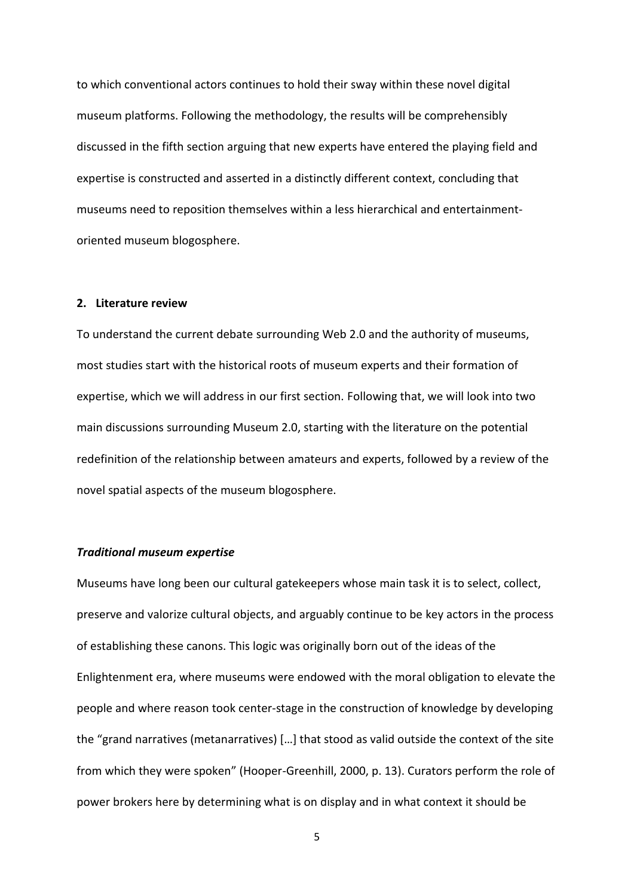to which conventional actors continues to hold their sway within these novel digital museum platforms. Following the methodology, the results will be comprehensibly discussed in the fifth section arguing that new experts have entered the playing field and expertise is constructed and asserted in a distinctly different context, concluding that museums need to reposition themselves within a less hierarchical and entertainmentoriented museum blogosphere.

## **2. Literature review**

To understand the current debate surrounding Web 2.0 and the authority of museums, most studies start with the historical roots of museum experts and their formation of expertise, which we will address in our first section. Following that, we will look into two main discussions surrounding Museum 2.0, starting with the literature on the potential redefinition of the relationship between amateurs and experts, followed by a review of the novel spatial aspects of the museum blogosphere.

## *Traditional museum expertise*

Museums have long been our cultural gatekeepers whose main task it is to select, collect, preserve and valorize cultural objects, and arguably continue to be key actors in the process of establishing these canons. This logic was originally born out of the ideas of the Enlightenment era, where museums were endowed with the moral obligation to elevate the people and where reason took center-stage in the construction of knowledge by developing the "grand narratives (metanarratives) […] that stood as valid outside the context of the site from which they were spoken" (Hooper-Greenhill, 2000, p. 13). Curators perform the role of power brokers here by determining what is on display and in what context it should be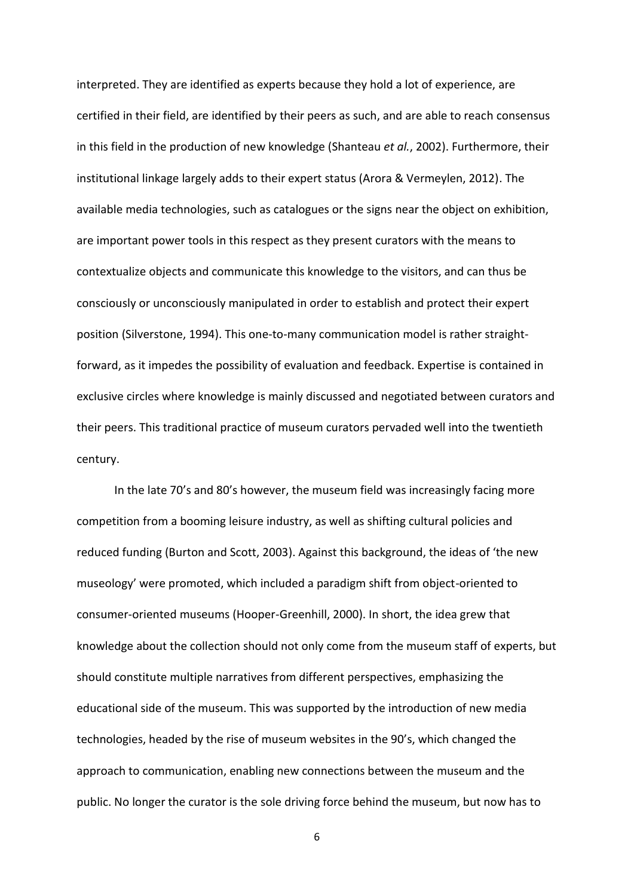interpreted. They are identified as experts because they hold a lot of experience, are certified in their field, are identified by their peers as such, and are able to reach consensus in this field in the production of new knowledge (Shanteau *et al.*, 2002). Furthermore, their institutional linkage largely adds to their expert status (Arora & Vermeylen, 2012). The available media technologies, such as catalogues or the signs near the object on exhibition, are important power tools in this respect as they present curators with the means to contextualize objects and communicate this knowledge to the visitors, and can thus be consciously or unconsciously manipulated in order to establish and protect their expert position (Silverstone, 1994). This one-to-many communication model is rather straightforward, as it impedes the possibility of evaluation and feedback. Expertise is contained in exclusive circles where knowledge is mainly discussed and negotiated between curators and their peers. This traditional practice of museum curators pervaded well into the twentieth century.

In the late 70's and 80's however, the museum field was increasingly facing more competition from a booming leisure industry, as well as shifting cultural policies and reduced funding (Burton and Scott, 2003). Against this background, the ideas of 'the new museology' were promoted, which included a paradigm shift from object-oriented to consumer-oriented museums (Hooper-Greenhill, 2000). In short, the idea grew that knowledge about the collection should not only come from the museum staff of experts, but should constitute multiple narratives from different perspectives, emphasizing the educational side of the museum. This was supported by the introduction of new media technologies, headed by the rise of museum websites in the 90's, which changed the approach to communication, enabling new connections between the museum and the public. No longer the curator is the sole driving force behind the museum, but now has to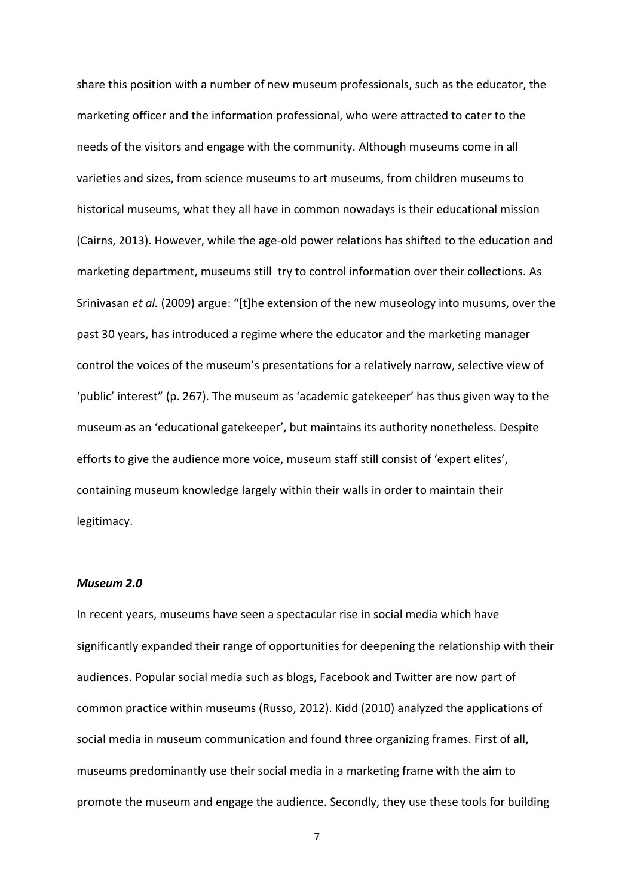share this position with a number of new museum professionals, such as the educator, the marketing officer and the information professional, who were attracted to cater to the needs of the visitors and engage with the community. Although museums come in all varieties and sizes, from science museums to art museums, from children museums to historical museums, what they all have in common nowadays is their educational mission (Cairns, 2013). However, while the age-old power relations has shifted to the education and marketing department, museums still try to control information over their collections. As Srinivasan *et al.* (2009) argue: "[t]he extension of the new museology into musums, over the past 30 years, has introduced a regime where the educator and the marketing manager control the voices of the museum's presentations for a relatively narrow, selective view of 'public' interest" (p. 267). The museum as 'academic gatekeeper' has thus given way to the museum as an 'educational gatekeeper', but maintains its authority nonetheless. Despite efforts to give the audience more voice, museum staff still consist of 'expert elites', containing museum knowledge largely within their walls in order to maintain their legitimacy.

#### *Museum 2.0*

In recent years, museums have seen a spectacular rise in social media which have significantly expanded their range of opportunities for deepening the relationship with their audiences. Popular social media such as blogs, Facebook and Twitter are now part of common practice within museums (Russo, 2012). Kidd (2010) analyzed the applications of social media in museum communication and found three organizing frames. First of all, museums predominantly use their social media in a marketing frame with the aim to promote the museum and engage the audience. Secondly, they use these tools for building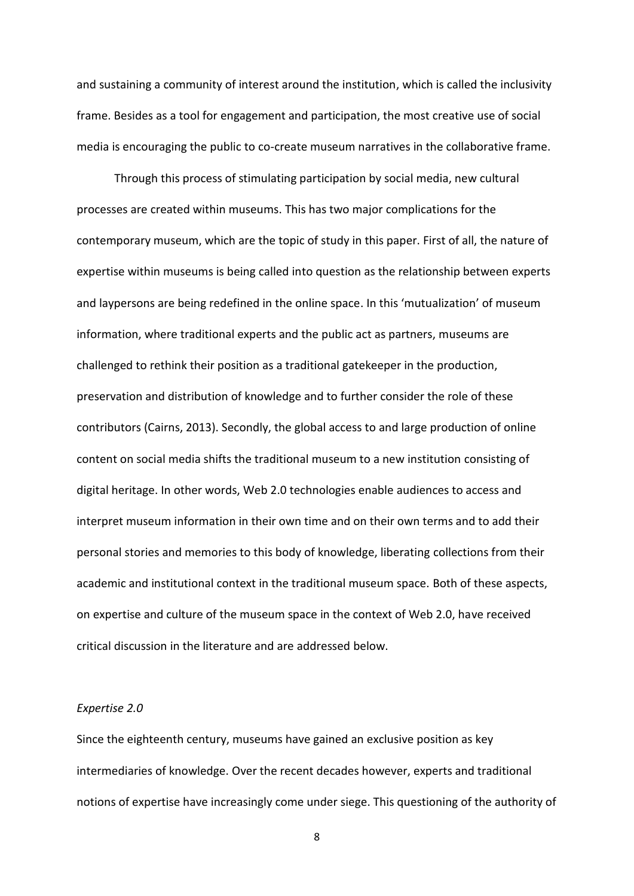and sustaining a community of interest around the institution, which is called the inclusivity frame. Besides as a tool for engagement and participation, the most creative use of social media is encouraging the public to co-create museum narratives in the collaborative frame.

Through this process of stimulating participation by social media, new cultural processes are created within museums. This has two major complications for the contemporary museum, which are the topic of study in this paper. First of all, the nature of expertise within museums is being called into question as the relationship between experts and laypersons are being redefined in the online space. In this 'mutualization' of museum information, where traditional experts and the public act as partners, museums are challenged to rethink their position as a traditional gatekeeper in the production, preservation and distribution of knowledge and to further consider the role of these contributors (Cairns, 2013). Secondly, the global access to and large production of online content on social media shifts the traditional museum to a new institution consisting of digital heritage. In other words, Web 2.0 technologies enable audiences to access and interpret museum information in their own time and on their own terms and to add their personal stories and memories to this body of knowledge, liberating collections from their academic and institutional context in the traditional museum space. Both of these aspects, on expertise and culture of the museum space in the context of Web 2.0, have received critical discussion in the literature and are addressed below.

## *Expertise 2.0*

Since the eighteenth century, museums have gained an exclusive position as key intermediaries of knowledge. Over the recent decades however, experts and traditional notions of expertise have increasingly come under siege. This questioning of the authority of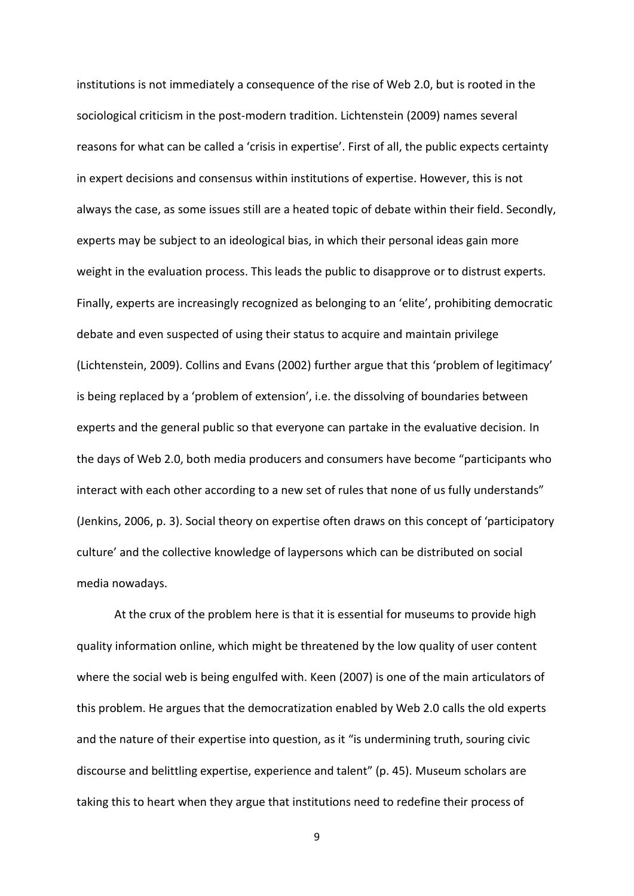institutions is not immediately a consequence of the rise of Web 2.0, but is rooted in the sociological criticism in the post-modern tradition. Lichtenstein (2009) names several reasons for what can be called a 'crisis in expertise'. First of all, the public expects certainty in expert decisions and consensus within institutions of expertise. However, this is not always the case, as some issues still are a heated topic of debate within their field. Secondly, experts may be subject to an ideological bias, in which their personal ideas gain more weight in the evaluation process. This leads the public to disapprove or to distrust experts. Finally, experts are increasingly recognized as belonging to an 'elite', prohibiting democratic debate and even suspected of using their status to acquire and maintain privilege (Lichtenstein, 2009). Collins and Evans (2002) further argue that this 'problem of legitimacy' is being replaced by a 'problem of extension', i.e. the dissolving of boundaries between experts and the general public so that everyone can partake in the evaluative decision. In the days of Web 2.0, both media producers and consumers have become "participants who interact with each other according to a new set of rules that none of us fully understands" (Jenkins, 2006, p. 3). Social theory on expertise often draws on this concept of 'participatory culture' and the collective knowledge of laypersons which can be distributed on social media nowadays.

At the crux of the problem here is that it is essential for museums to provide high quality information online, which might be threatened by the low quality of user content where the social web is being engulfed with. Keen (2007) is one of the main articulators of this problem. He argues that the democratization enabled by Web 2.0 calls the old experts and the nature of their expertise into question, as it "is undermining truth, souring civic discourse and belittling expertise, experience and talent" (p. 45). Museum scholars are taking this to heart when they argue that institutions need to redefine their process of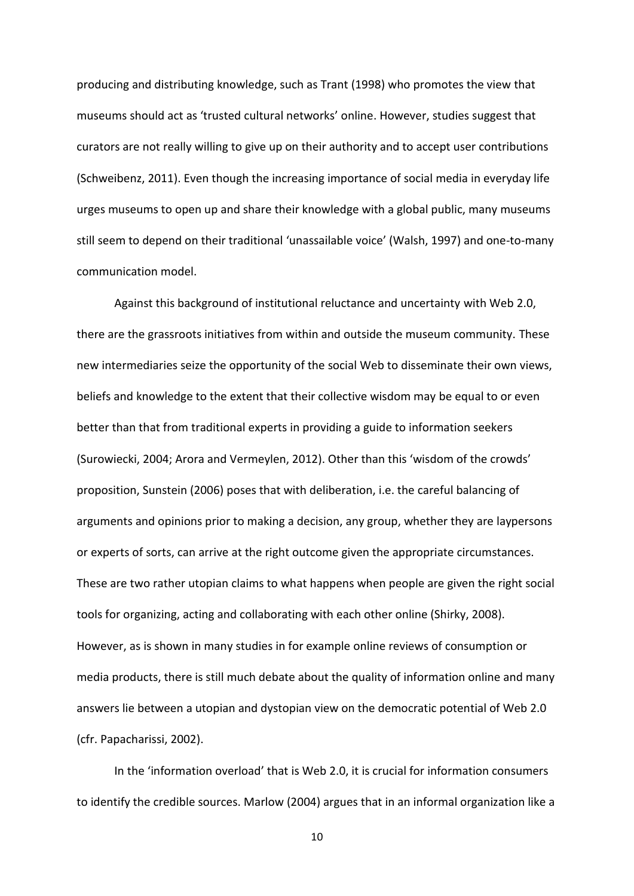producing and distributing knowledge, such as Trant (1998) who promotes the view that museums should act as 'trusted cultural networks' online. However, studies suggest that curators are not really willing to give up on their authority and to accept user contributions (Schweibenz, 2011). Even though the increasing importance of social media in everyday life urges museums to open up and share their knowledge with a global public, many museums still seem to depend on their traditional 'unassailable voice' (Walsh, 1997) and one-to-many communication model.

Against this background of institutional reluctance and uncertainty with Web 2.0, there are the grassroots initiatives from within and outside the museum community. These new intermediaries seize the opportunity of the social Web to disseminate their own views, beliefs and knowledge to the extent that their collective wisdom may be equal to or even better than that from traditional experts in providing a guide to information seekers (Surowiecki, 2004; Arora and Vermeylen, 2012). Other than this 'wisdom of the crowds' proposition, Sunstein (2006) poses that with deliberation, i.e. the careful balancing of arguments and opinions prior to making a decision, any group, whether they are laypersons or experts of sorts, can arrive at the right outcome given the appropriate circumstances. These are two rather utopian claims to what happens when people are given the right social tools for organizing, acting and collaborating with each other online (Shirky, 2008). However, as is shown in many studies in for example online reviews of consumption or media products, there is still much debate about the quality of information online and many answers lie between a utopian and dystopian view on the democratic potential of Web 2.0 (cfr. Papacharissi, 2002).

In the 'information overload' that is Web 2.0, it is crucial for information consumers to identify the credible sources. Marlow (2004) argues that in an informal organization like a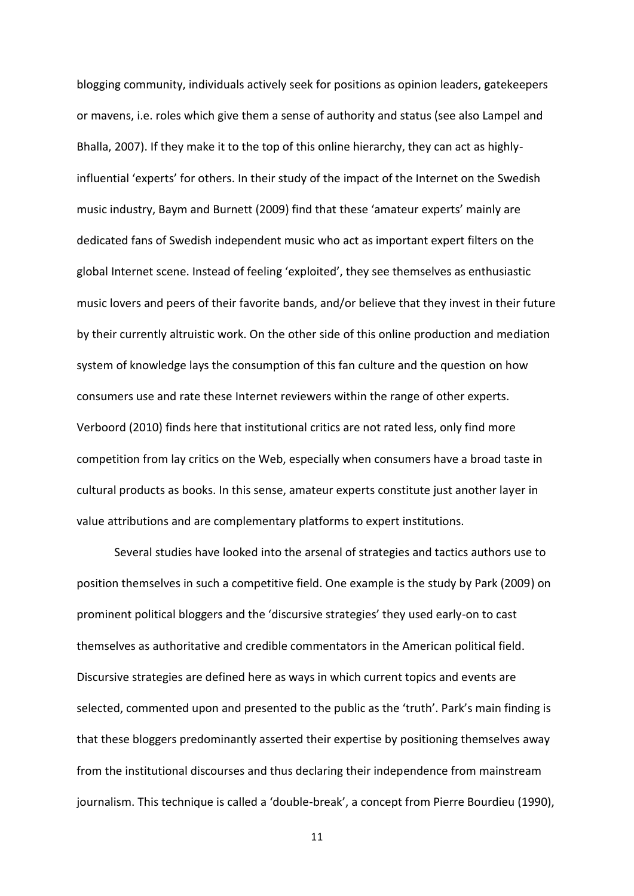blogging community, individuals actively seek for positions as opinion leaders, gatekeepers or mavens, i.e. roles which give them a sense of authority and status (see also Lampel and Bhalla, 2007). If they make it to the top of this online hierarchy, they can act as highlyinfluential 'experts' for others. In their study of the impact of the Internet on the Swedish music industry, Baym and Burnett (2009) find that these 'amateur experts' mainly are dedicated fans of Swedish independent music who act as important expert filters on the global Internet scene. Instead of feeling 'exploited', they see themselves as enthusiastic music lovers and peers of their favorite bands, and/or believe that they invest in their future by their currently altruistic work. On the other side of this online production and mediation system of knowledge lays the consumption of this fan culture and the question on how consumers use and rate these Internet reviewers within the range of other experts. Verboord (2010) finds here that institutional critics are not rated less, only find more competition from lay critics on the Web, especially when consumers have a broad taste in cultural products as books. In this sense, amateur experts constitute just another layer in value attributions and are complementary platforms to expert institutions.

Several studies have looked into the arsenal of strategies and tactics authors use to position themselves in such a competitive field. One example is the study by Park (2009) on prominent political bloggers and the 'discursive strategies' they used early-on to cast themselves as authoritative and credible commentators in the American political field. Discursive strategies are defined here as ways in which current topics and events are selected, commented upon and presented to the public as the 'truth'. Park's main finding is that these bloggers predominantly asserted their expertise by positioning themselves away from the institutional discourses and thus declaring their independence from mainstream journalism. This technique is called a 'double-break', a concept from Pierre Bourdieu (1990),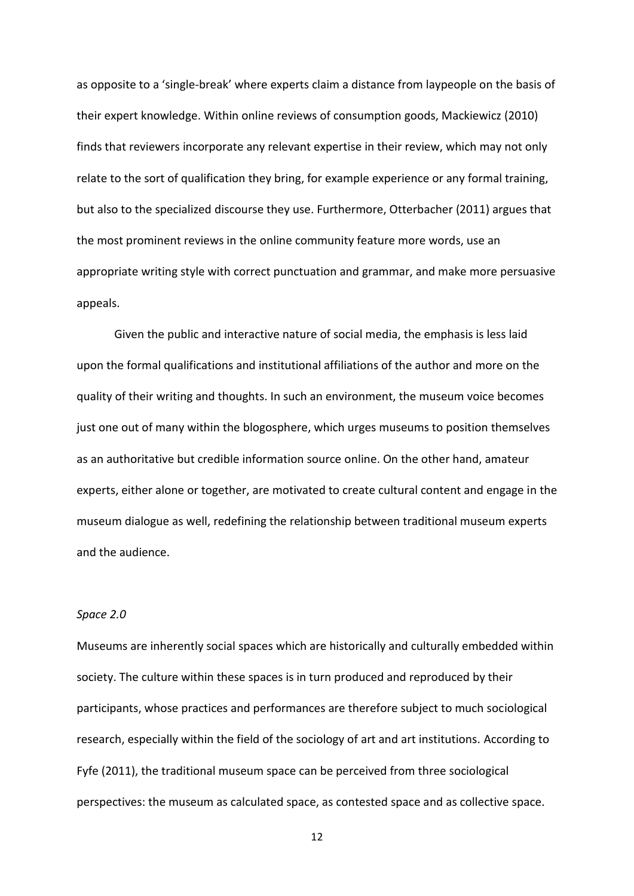as opposite to a 'single-break' where experts claim a distance from laypeople on the basis of their expert knowledge. Within online reviews of consumption goods, Mackiewicz (2010) finds that reviewers incorporate any relevant expertise in their review, which may not only relate to the sort of qualification they bring, for example experience or any formal training, but also to the specialized discourse they use. Furthermore, Otterbacher (2011) argues that the most prominent reviews in the online community feature more words, use an appropriate writing style with correct punctuation and grammar, and make more persuasive appeals.

Given the public and interactive nature of social media, the emphasis is less laid upon the formal qualifications and institutional affiliations of the author and more on the quality of their writing and thoughts. In such an environment, the museum voice becomes just one out of many within the blogosphere, which urges museums to position themselves as an authoritative but credible information source online. On the other hand, amateur experts, either alone or together, are motivated to create cultural content and engage in the museum dialogue as well, redefining the relationship between traditional museum experts and the audience.

#### *Space 2.0*

Museums are inherently social spaces which are historically and culturally embedded within society. The culture within these spaces is in turn produced and reproduced by their participants, whose practices and performances are therefore subject to much sociological research, especially within the field of the sociology of art and art institutions. According to Fyfe (2011), the traditional museum space can be perceived from three sociological perspectives: the museum as calculated space, as contested space and as collective space.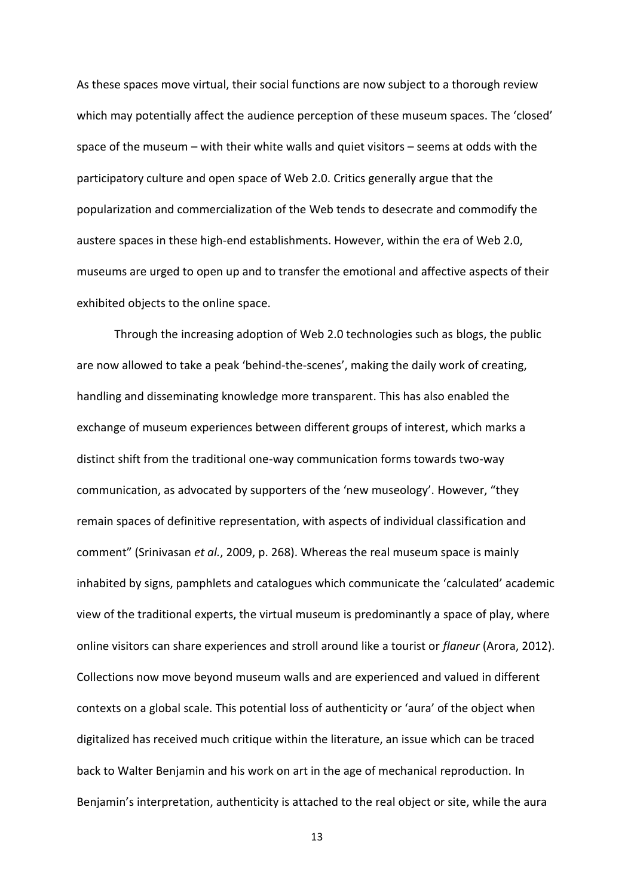As these spaces move virtual, their social functions are now subject to a thorough review which may potentially affect the audience perception of these museum spaces. The 'closed' space of the museum – with their white walls and quiet visitors – seems at odds with the participatory culture and open space of Web 2.0. Critics generally argue that the popularization and commercialization of the Web tends to desecrate and commodify the austere spaces in these high-end establishments. However, within the era of Web 2.0, museums are urged to open up and to transfer the emotional and affective aspects of their exhibited objects to the online space.

Through the increasing adoption of Web 2.0 technologies such as blogs, the public are now allowed to take a peak 'behind-the-scenes', making the daily work of creating, handling and disseminating knowledge more transparent. This has also enabled the exchange of museum experiences between different groups of interest, which marks a distinct shift from the traditional one-way communication forms towards two-way communication, as advocated by supporters of the 'new museology'. However, "they remain spaces of definitive representation, with aspects of individual classification and comment" (Srinivasan *et al.*, 2009, p. 268). Whereas the real museum space is mainly inhabited by signs, pamphlets and catalogues which communicate the 'calculated' academic view of the traditional experts, the virtual museum is predominantly a space of play, where online visitors can share experiences and stroll around like a tourist or *flaneur* (Arora, 2012). Collections now move beyond museum walls and are experienced and valued in different contexts on a global scale. This potential loss of authenticity or 'aura' of the object when digitalized has received much critique within the literature, an issue which can be traced back to Walter Benjamin and his work on art in the age of mechanical reproduction. In Benjamin's interpretation, authenticity is attached to the real object or site, while the aura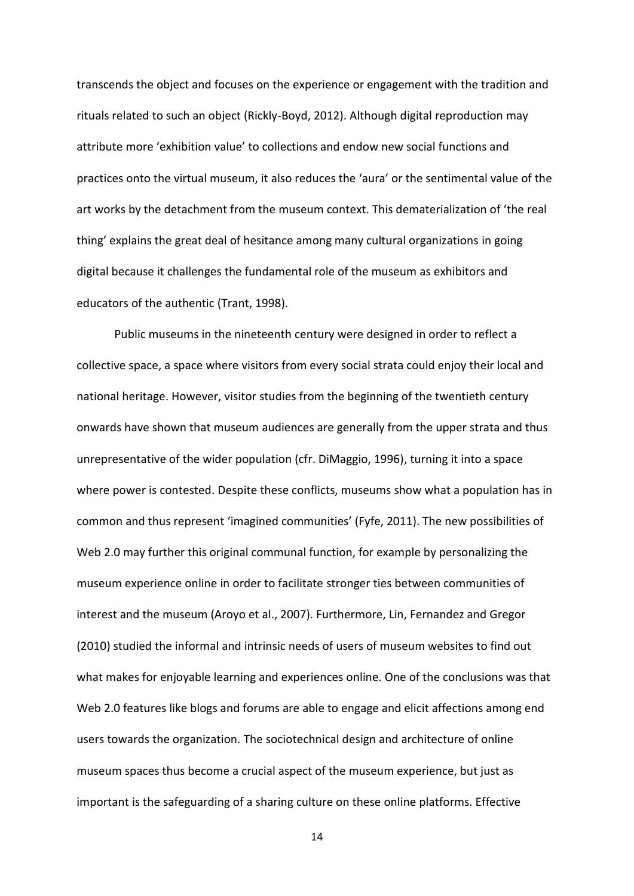transcends the object and focuses on the experience or engagement with the tradition and rituals related to such an object (Rickly-Boyd, 2012). Although digital reproduction may attribute more 'exhibition value' to collections and endow new social functions and practices onto the virtual museum, it also reduces the 'aura' or the sentimental value of the art works by the detachment from the museum context. This dematerialization of 'the real thing' explains the great deal of hesitance among many cultural organizations in going digital because it challenges the fundamental role of the museum as exhibitors and educators of the authentic (Trant, 1998).

Public museums in the nineteenth century were designed in order to reflect a collective space, a space where visitors from every social strata could enjoy their local and national heritage. However, visitor studies from the beginning of the twentieth century onwards have shown that museum audiences are generally from the upper strata and thus unrepresentative of the wider population (cfr. DiMaggio, 1996), turning it into a space where power is contested. Despite these conflicts, museums show what a population has in common and thus represent 'imagined communities' (Fyfe, 2011). The new possibilities of Web 2.0 may further this original communal function, for example by personalizing the museum experience online in order to facilitate stronger ties between communities of interest and the museum (Aroyo et al., 2007). Furthermore, Lin, Fernandez and Gregor (2010) studied the informal and intrinsic needs of users of museum websites to find out what makes for enjoyable learning and experiences online. One of the conclusions was that Web 2.0 features like blogs and forums are able to engage and elicit affections among end users towards the organization. The sociotechnical design and architecture of online museum spaces thus become a crucial aspect of the museum experience, but just as important is the safeguarding of a sharing culture on these online platforms. Effective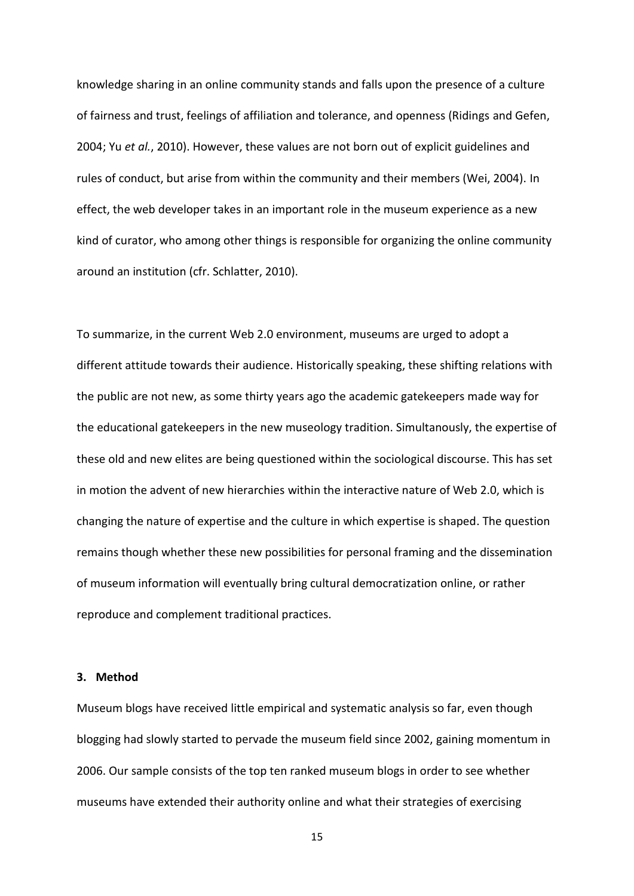knowledge sharing in an online community stands and falls upon the presence of a culture of fairness and trust, feelings of affiliation and tolerance, and openness (Ridings and Gefen, 2004; Yu *et al.*, 2010). However, these values are not born out of explicit guidelines and rules of conduct, but arise from within the community and their members (Wei, 2004). In effect, the web developer takes in an important role in the museum experience as a new kind of curator, who among other things is responsible for organizing the online community around an institution (cfr. Schlatter, 2010).

To summarize, in the current Web 2.0 environment, museums are urged to adopt a different attitude towards their audience. Historically speaking, these shifting relations with the public are not new, as some thirty years ago the academic gatekeepers made way for the educational gatekeepers in the new museology tradition. Simultanously, the expertise of these old and new elites are being questioned within the sociological discourse. This has set in motion the advent of new hierarchies within the interactive nature of Web 2.0, which is changing the nature of expertise and the culture in which expertise is shaped. The question remains though whether these new possibilities for personal framing and the dissemination of museum information will eventually bring cultural democratization online, or rather reproduce and complement traditional practices.

#### **3. Method**

Museum blogs have received little empirical and systematic analysis so far, even though blogging had slowly started to pervade the museum field since 2002, gaining momentum in 2006. Our sample consists of the top ten ranked museum blogs in order to see whether museums have extended their authority online and what their strategies of exercising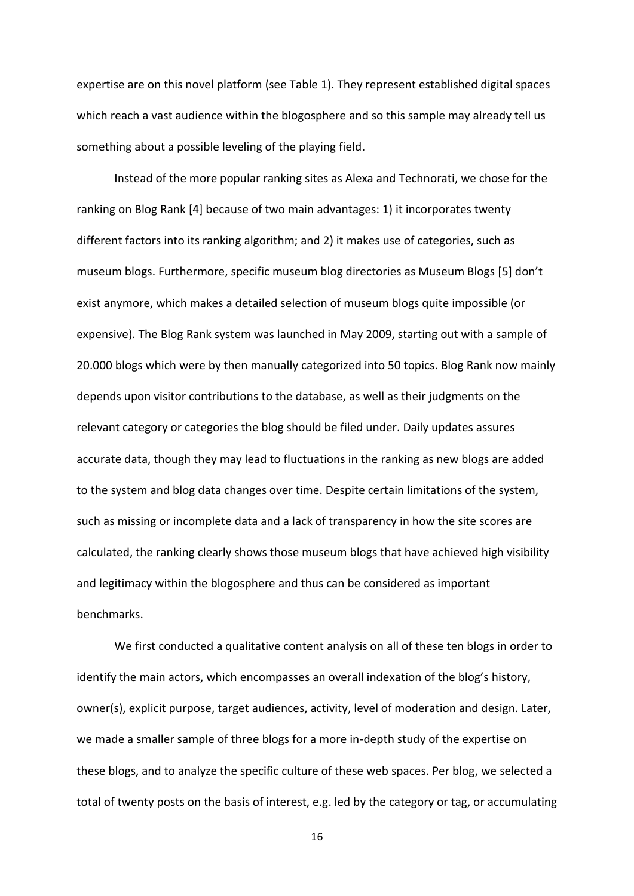expertise are on this novel platform (see Table 1). They represent established digital spaces which reach a vast audience within the blogosphere and so this sample may already tell us something about a possible leveling of the playing field.

Instead of the more popular ranking sites as Alexa and Technorati, we chose for the ranking on Blog Rank [4] because of two main advantages: 1) it incorporates twenty different factors into its ranking algorithm; and 2) it makes use of categories, such as museum blogs. Furthermore, specific museum blog directories as Museum Blogs [5] don't exist anymore, which makes a detailed selection of museum blogs quite impossible (or expensive). The Blog Rank system was launched in May 2009, starting out with a sample of 20.000 blogs which were by then manually categorized into 50 topics. Blog Rank now mainly depends upon visitor contributions to the database, as well as their judgments on the relevant category or categories the blog should be filed under. Daily updates assures accurate data, though they may lead to fluctuations in the ranking as new blogs are added to the system and blog data changes over time. Despite certain limitations of the system, such as missing or incomplete data and a lack of transparency in how the site scores are calculated, the ranking clearly shows those museum blogs that have achieved high visibility and legitimacy within the blogosphere and thus can be considered as important benchmarks.

We first conducted a qualitative content analysis on all of these ten blogs in order to identify the main actors, which encompasses an overall indexation of the blog's history, owner(s), explicit purpose, target audiences, activity, level of moderation and design. Later, we made a smaller sample of three blogs for a more in-depth study of the expertise on these blogs, and to analyze the specific culture of these web spaces. Per blog, we selected a total of twenty posts on the basis of interest, e.g. led by the category or tag, or accumulating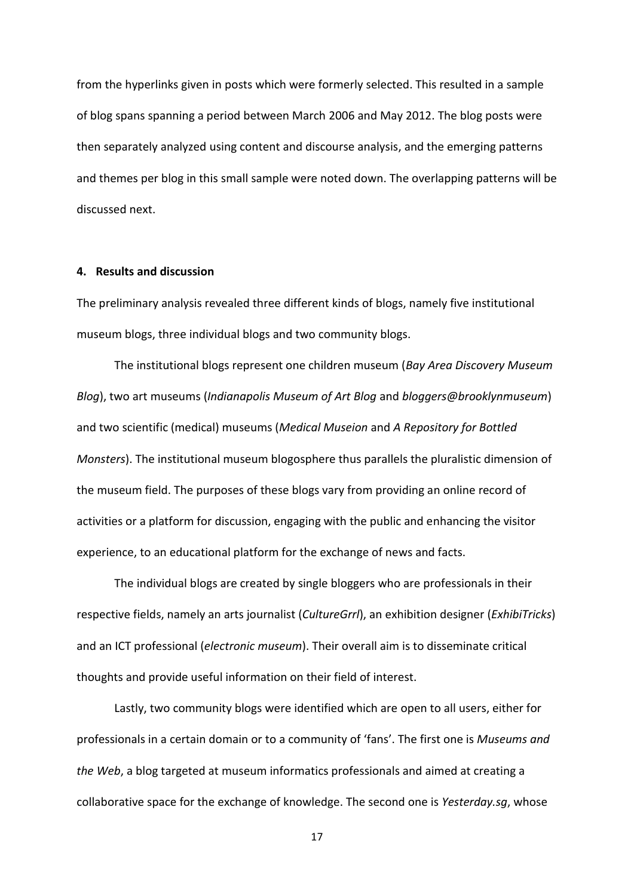from the hyperlinks given in posts which were formerly selected. This resulted in a sample of blog spans spanning a period between March 2006 and May 2012. The blog posts were then separately analyzed using content and discourse analysis, and the emerging patterns and themes per blog in this small sample were noted down. The overlapping patterns will be discussed next.

### **4. Results and discussion**

The preliminary analysis revealed three different kinds of blogs, namely five institutional museum blogs, three individual blogs and two community blogs.

The institutional blogs represent one children museum (*Bay Area Discovery Museum Blog*), two art museums (*Indianapolis Museum of Art Blog* and *bloggers@brooklynmuseum*) and two scientific (medical) museums (*Medical Museion* and *A Repository for Bottled Monsters*). The institutional museum blogosphere thus parallels the pluralistic dimension of the museum field. The purposes of these blogs vary from providing an online record of activities or a platform for discussion, engaging with the public and enhancing the visitor experience, to an educational platform for the exchange of news and facts.

The individual blogs are created by single bloggers who are professionals in their respective fields, namely an arts journalist (*CultureGrrl*), an exhibition designer (*ExhibiTricks*) and an ICT professional (*electronic museum*). Their overall aim is to disseminate critical thoughts and provide useful information on their field of interest.

Lastly, two community blogs were identified which are open to all users, either for professionals in a certain domain or to a community of 'fans'. The first one is *Museums and the Web*, a blog targeted at museum informatics professionals and aimed at creating a collaborative space for the exchange of knowledge. The second one is *Yesterday.sg*, whose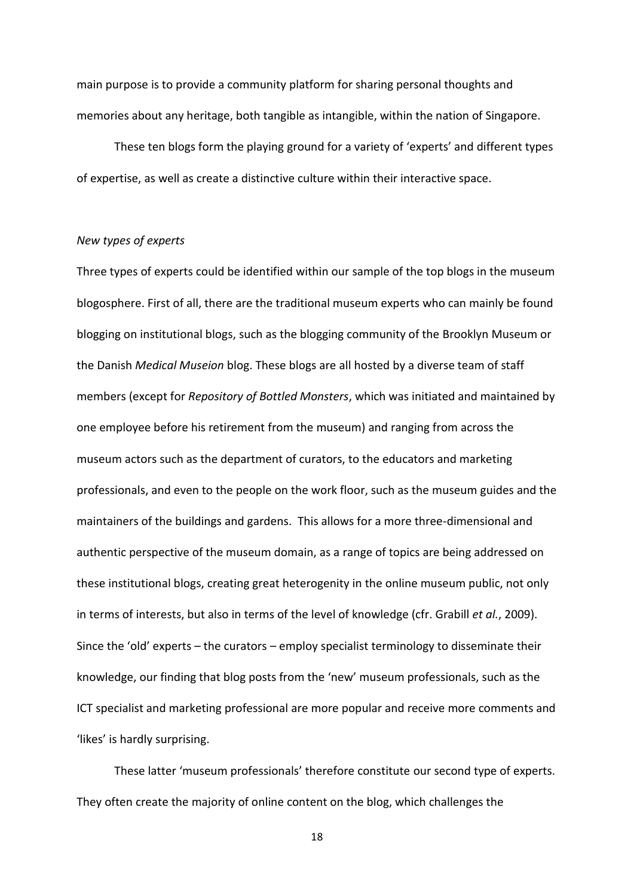main purpose is to provide a community platform for sharing personal thoughts and memories about any heritage, both tangible as intangible, within the nation of Singapore.

These ten blogs form the playing ground for a variety of 'experts' and different types of expertise, as well as create a distinctive culture within their interactive space.

#### *New types of experts*

Three types of experts could be identified within our sample of the top blogs in the museum blogosphere. First of all, there are the traditional museum experts who can mainly be found blogging on institutional blogs, such as the blogging community of the Brooklyn Museum or the Danish *Medical Museion* blog. These blogs are all hosted by a diverse team of staff members (except for *Repository of Bottled Monsters*, which was initiated and maintained by one employee before his retirement from the museum) and ranging from across the museum actors such as the department of curators, to the educators and marketing professionals, and even to the people on the work floor, such as the museum guides and the maintainers of the buildings and gardens. This allows for a more three-dimensional and authentic perspective of the museum domain, as a range of topics are being addressed on these institutional blogs, creating great heterogenity in the online museum public, not only in terms of interests, but also in terms of the level of knowledge (cfr. Grabill *et al.*, 2009). Since the 'old' experts – the curators – employ specialist terminology to disseminate their knowledge, our finding that blog posts from the 'new' museum professionals, such as the ICT specialist and marketing professional are more popular and receive more comments and 'likes' is hardly surprising.

These latter 'museum professionals' therefore constitute our second type of experts. They often create the majority of online content on the blog, which challenges the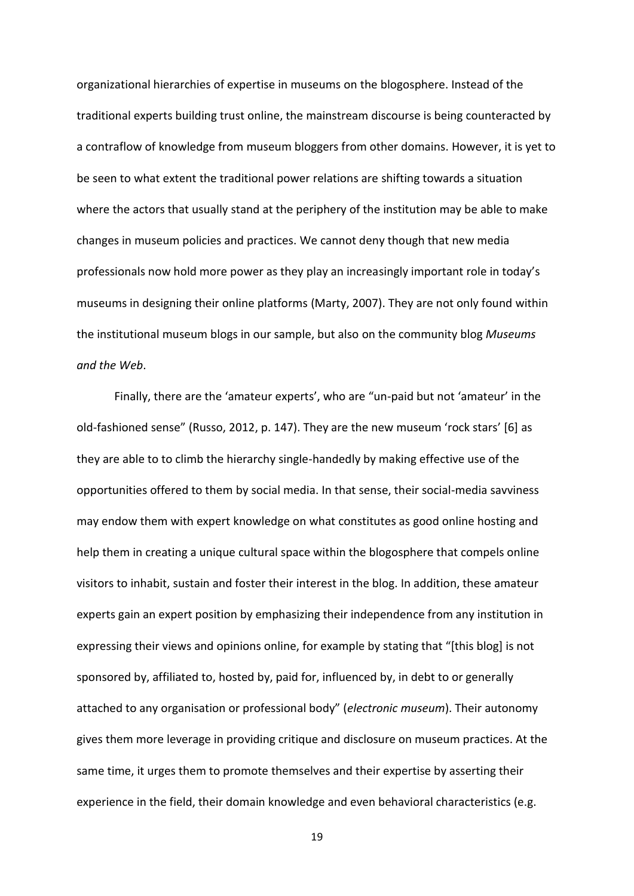organizational hierarchies of expertise in museums on the blogosphere. Instead of the traditional experts building trust online, the mainstream discourse is being counteracted by a contraflow of knowledge from museum bloggers from other domains. However, it is yet to be seen to what extent the traditional power relations are shifting towards a situation where the actors that usually stand at the periphery of the institution may be able to make changes in museum policies and practices. We cannot deny though that new media professionals now hold more power as they play an increasingly important role in today's museums in designing their online platforms (Marty, 2007). They are not only found within the institutional museum blogs in our sample, but also on the community blog *Museums and the Web*.

Finally, there are the 'amateur experts', who are "un-paid but not 'amateur' in the old-fashioned sense" (Russo, 2012, p. 147). They are the new museum 'rock stars' [6] as they are able to to climb the hierarchy single-handedly by making effective use of the opportunities offered to them by social media. In that sense, their social-media savviness may endow them with expert knowledge on what constitutes as good online hosting and help them in creating a unique cultural space within the blogosphere that compels online visitors to inhabit, sustain and foster their interest in the blog. In addition, these amateur experts gain an expert position by emphasizing their independence from any institution in expressing their views and opinions online, for example by stating that "[this blog] is not sponsored by, affiliated to, hosted by, paid for, influenced by, in debt to or generally attached to any organisation or professional body" (*electronic museum*). Their autonomy gives them more leverage in providing critique and disclosure on museum practices. At the same time, it urges them to promote themselves and their expertise by asserting their experience in the field, their domain knowledge and even behavioral characteristics (e.g.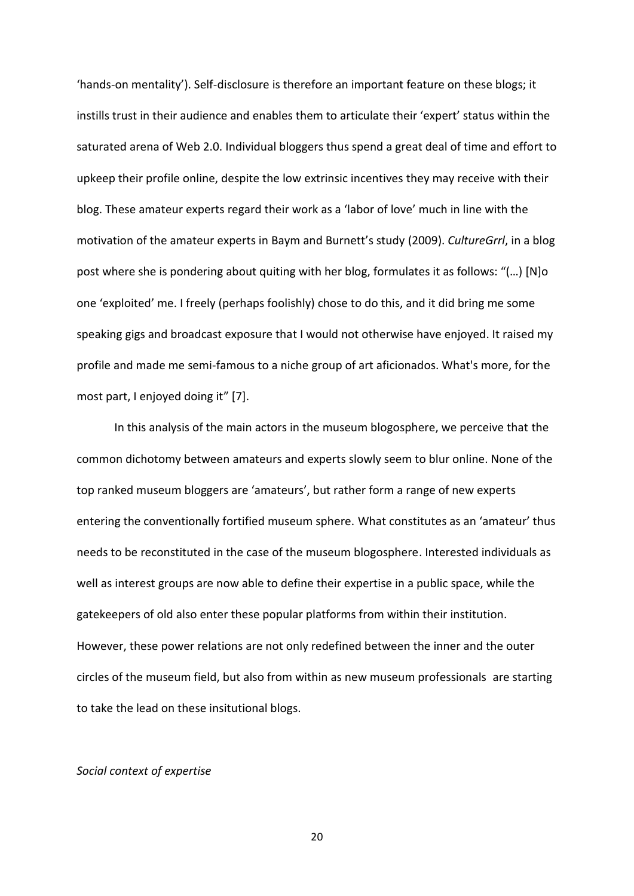'hands-on mentality'). Self-disclosure is therefore an important feature on these blogs; it instills trust in their audience and enables them to articulate their 'expert' status within the saturated arena of Web 2.0. Individual bloggers thus spend a great deal of time and effort to upkeep their profile online, despite the low extrinsic incentives they may receive with their blog. These amateur experts regard their work as a 'labor of love' much in line with the motivation of the amateur experts in Baym and Burnett's study (2009). *CultureGrrl*, in a blog post where she is pondering about quiting with her blog, formulates it as follows: "(…) [N]o one 'exploited' me. I freely (perhaps foolishly) chose to do this, and it did bring me some speaking gigs and broadcast exposure that I would not otherwise have enjoyed. It raised my profile and made me semi-famous to a niche group of art aficionados. What's more, for the most part, I enjoyed doing it" [7].

In this analysis of the main actors in the museum blogosphere, we perceive that the common dichotomy between amateurs and experts slowly seem to blur online. None of the top ranked museum bloggers are 'amateurs', but rather form a range of new experts entering the conventionally fortified museum sphere. What constitutes as an 'amateur' thus needs to be reconstituted in the case of the museum blogosphere. Interested individuals as well as interest groups are now able to define their expertise in a public space, while the gatekeepers of old also enter these popular platforms from within their institution. However, these power relations are not only redefined between the inner and the outer circles of the museum field, but also from within as new museum professionals are starting to take the lead on these insitutional blogs.

#### *Social context of expertise*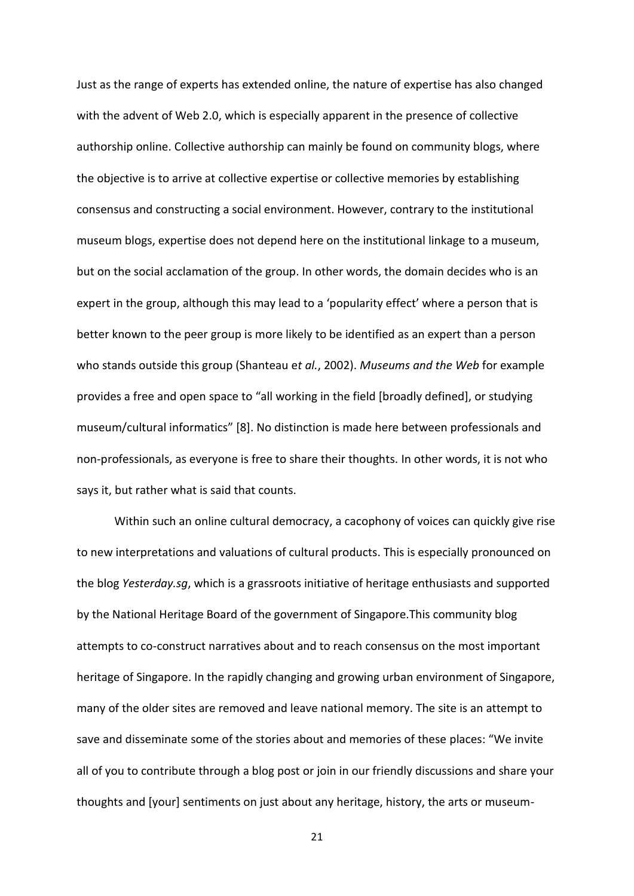Just as the range of experts has extended online, the nature of expertise has also changed with the advent of Web 2.0, which is especially apparent in the presence of collective authorship online. Collective authorship can mainly be found on community blogs, where the objective is to arrive at collective expertise or collective memories by establishing consensus and constructing a social environment. However, contrary to the institutional museum blogs, expertise does not depend here on the institutional linkage to a museum, but on the social acclamation of the group. In other words, the domain decides who is an expert in the group, although this may lead to a 'popularity effect' where a person that is better known to the peer group is more likely to be identified as an expert than a person who stands outside this group (Shanteau e*t al.*, 2002). *Museums and the Web* for example provides a free and open space to "all working in the field [broadly defined], or studying museum/cultural informatics" [8]. No distinction is made here between professionals and non-professionals, as everyone is free to share their thoughts. In other words, it is not who says it, but rather what is said that counts.

Within such an online cultural democracy, a cacophony of voices can quickly give rise to new interpretations and valuations of cultural products. This is especially pronounced on the blog *Yesterday.sg*, which is a grassroots initiative of heritage enthusiasts and supported by the National Heritage Board of the government of Singapore.This community blog attempts to co-construct narratives about and to reach consensus on the most important heritage of Singapore. In the rapidly changing and growing urban environment of Singapore, many of the older sites are removed and leave national memory. The site is an attempt to save and disseminate some of the stories about and memories of these places: "We invite all of you to contribute through a blog post or join in our friendly discussions and share your thoughts and [your] sentiments on just about any heritage, history, the arts or museum-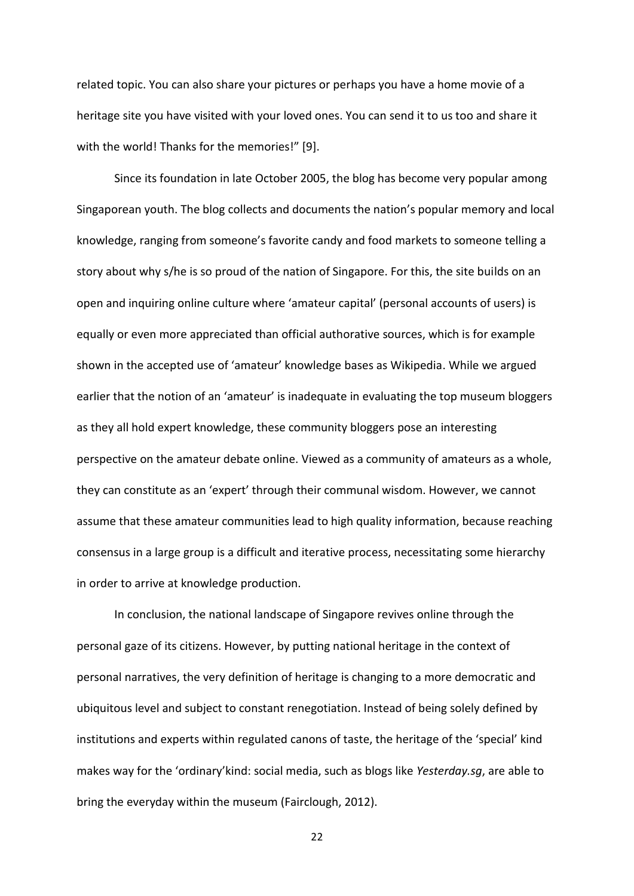related topic. You can also share your pictures or perhaps you have a home movie of a heritage site you have visited with your loved ones. You can send it to us too and share it with the world! Thanks for the memories!" [9].

Since its foundation in late October 2005, the blog has become very popular among Singaporean youth. The blog collects and documents the nation's popular memory and local knowledge, ranging from someone's favorite candy and food markets to someone telling a story about why s/he is so proud of the nation of Singapore. For this, the site builds on an open and inquiring online culture where 'amateur capital' (personal accounts of users) is equally or even more appreciated than official authorative sources, which is for example shown in the accepted use of 'amateur' knowledge bases as Wikipedia. While we argued earlier that the notion of an 'amateur' is inadequate in evaluating the top museum bloggers as they all hold expert knowledge, these community bloggers pose an interesting perspective on the amateur debate online. Viewed as a community of amateurs as a whole, they can constitute as an 'expert' through their communal wisdom. However, we cannot assume that these amateur communities lead to high quality information, because reaching consensus in a large group is a difficult and iterative process, necessitating some hierarchy in order to arrive at knowledge production.

In conclusion, the national landscape of Singapore revives online through the personal gaze of its citizens. However, by putting national heritage in the context of personal narratives, the very definition of heritage is changing to a more democratic and ubiquitous level and subject to constant renegotiation. Instead of being solely defined by institutions and experts within regulated canons of taste, the heritage of the 'special' kind makes way for the 'ordinary'kind: social media, such as blogs like *Yesterday.sg*, are able to bring the everyday within the museum (Fairclough, 2012).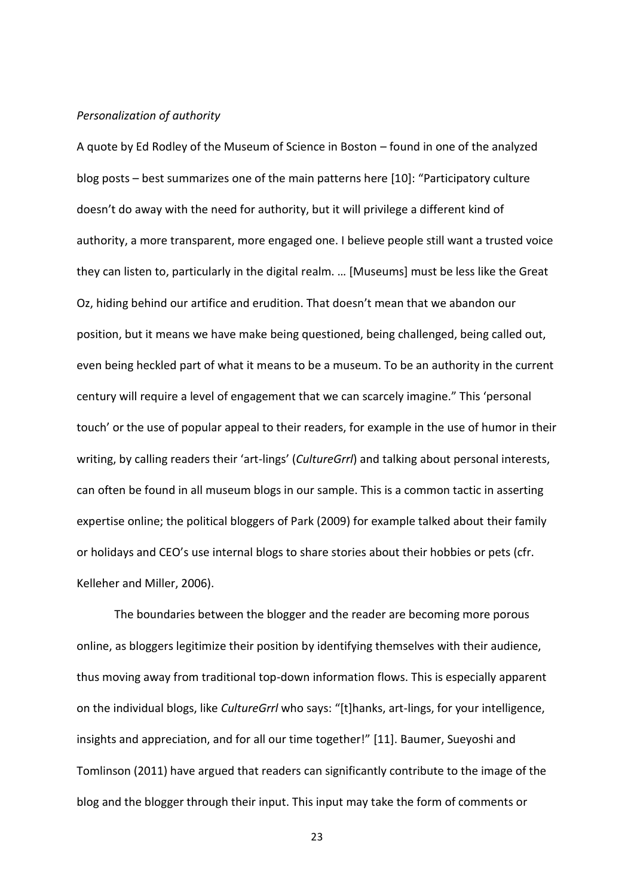#### *Personalization of authority*

A quote by Ed Rodley of the Museum of Science in Boston – found in one of the analyzed blog posts – best summarizes one of the main patterns here [10]: "Participatory culture doesn't do away with the need for authority, but it will privilege a different kind of authority, a more transparent, more engaged one. I believe people still want a trusted voice they can listen to, particularly in the digital realm. … [Museums] must be less like the Great Oz, hiding behind our artifice and erudition. That doesn't mean that we abandon our position, but it means we have make being questioned, being challenged, being called out, even being heckled part of what it means to be a museum. To be an authority in the current century will require a level of engagement that we can scarcely imagine." This 'personal touch' or the use of popular appeal to their readers, for example in the use of humor in their writing, by calling readers their 'art-lings' (*CultureGrrl*) and talking about personal interests, can often be found in all museum blogs in our sample. This is a common tactic in asserting expertise online; the political bloggers of Park (2009) for example talked about their family or holidays and CEO's use internal blogs to share stories about their hobbies or pets (cfr. Kelleher and Miller, 2006).

The boundaries between the blogger and the reader are becoming more porous online, as bloggers legitimize their position by identifying themselves with their audience, thus moving away from traditional top-down information flows. This is especially apparent on the individual blogs, like *CultureGrrl* who says: "[t]hanks, art-lings, for your intelligence, insights and appreciation, and for all our time together!" [11]. Baumer, Sueyoshi and Tomlinson (2011) have argued that readers can significantly contribute to the image of the blog and the blogger through their input. This input may take the form of comments or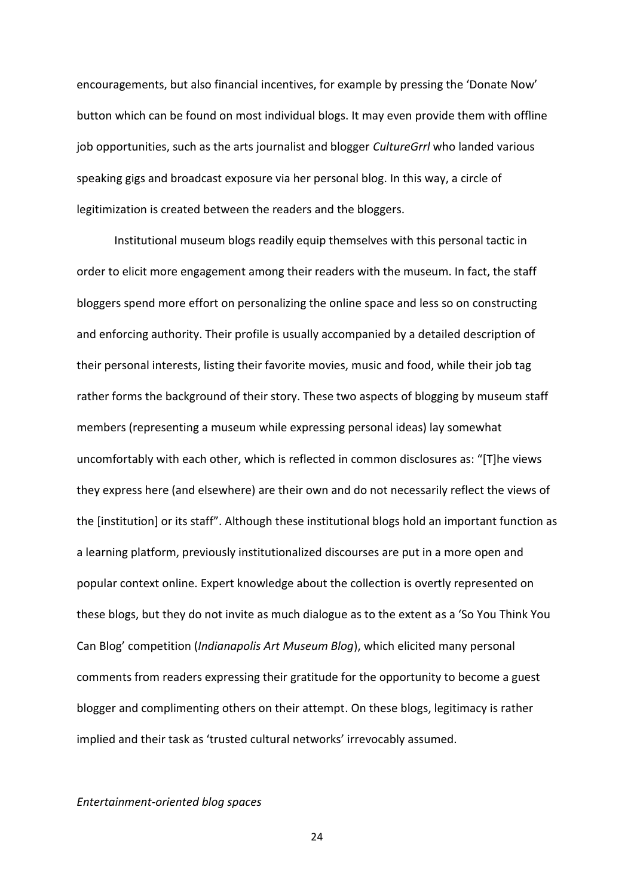encouragements, but also financial incentives, for example by pressing the 'Donate Now' button which can be found on most individual blogs. It may even provide them with offline job opportunities, such as the arts journalist and blogger *CultureGrrl* who landed various speaking gigs and broadcast exposure via her personal blog. In this way, a circle of legitimization is created between the readers and the bloggers.

Institutional museum blogs readily equip themselves with this personal tactic in order to elicit more engagement among their readers with the museum. In fact, the staff bloggers spend more effort on personalizing the online space and less so on constructing and enforcing authority. Their profile is usually accompanied by a detailed description of their personal interests, listing their favorite movies, music and food, while their job tag rather forms the background of their story. These two aspects of blogging by museum staff members (representing a museum while expressing personal ideas) lay somewhat uncomfortably with each other, which is reflected in common disclosures as: "[T]he views they express here (and elsewhere) are their own and do not necessarily reflect the views of the [institution] or its staff". Although these institutional blogs hold an important function as a learning platform, previously institutionalized discourses are put in a more open and popular context online. Expert knowledge about the collection is overtly represented on these blogs, but they do not invite as much dialogue as to the extent as a 'So You Think You Can Blog' competition (*Indianapolis Art Museum Blog*), which elicited many personal comments from readers expressing their gratitude for the opportunity to become a guest blogger and complimenting others on their attempt. On these blogs, legitimacy is rather implied and their task as 'trusted cultural networks' irrevocably assumed.

## *Entertainment-oriented blog spaces*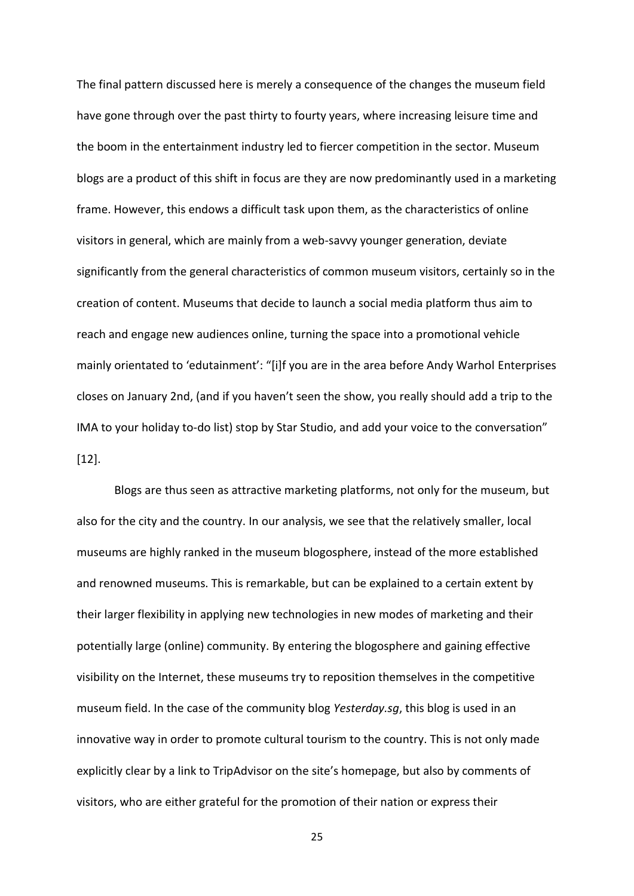The final pattern discussed here is merely a consequence of the changes the museum field have gone through over the past thirty to fourty years, where increasing leisure time and the boom in the entertainment industry led to fiercer competition in the sector. Museum blogs are a product of this shift in focus are they are now predominantly used in a marketing frame. However, this endows a difficult task upon them, as the characteristics of online visitors in general, which are mainly from a web-savvy younger generation, deviate significantly from the general characteristics of common museum visitors, certainly so in the creation of content. Museums that decide to launch a social media platform thus aim to reach and engage new audiences online, turning the space into a promotional vehicle mainly orientated to 'edutainment': "[i]f you are in the area before Andy Warhol Enterprises closes on January 2nd, (and if you haven't seen the show, you really should add a trip to the IMA to your holiday to-do list) stop by Star Studio, and add your voice to the conversation" [12].

Blogs are thus seen as attractive marketing platforms, not only for the museum, but also for the city and the country. In our analysis, we see that the relatively smaller, local museums are highly ranked in the museum blogosphere, instead of the more established and renowned museums. This is remarkable, but can be explained to a certain extent by their larger flexibility in applying new technologies in new modes of marketing and their potentially large (online) community. By entering the blogosphere and gaining effective visibility on the Internet, these museums try to reposition themselves in the competitive museum field. In the case of the community blog *Yesterday.sg*, this blog is used in an innovative way in order to promote cultural tourism to the country. This is not only made explicitly clear by a link to TripAdvisor on the site's homepage, but also by comments of visitors, who are either grateful for the promotion of their nation or express their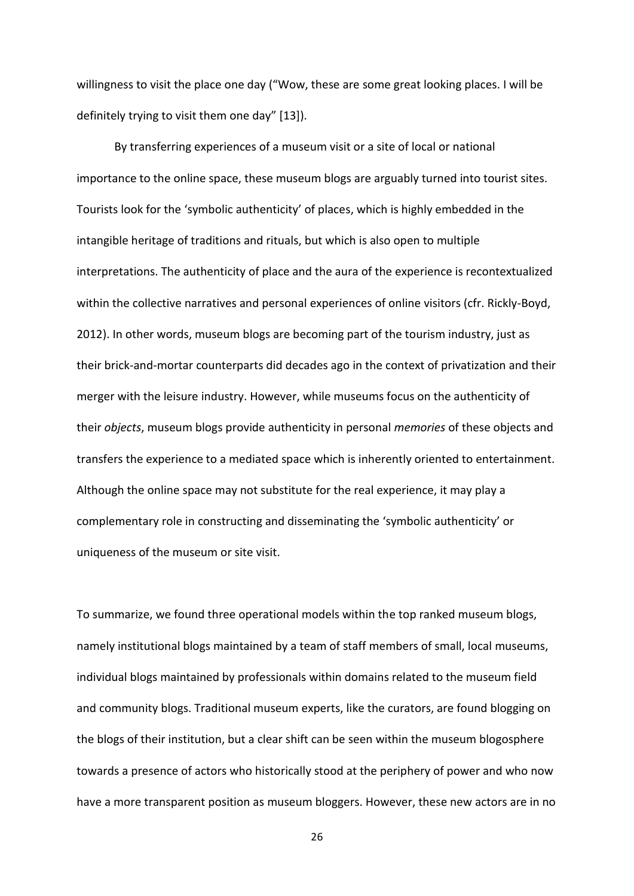willingness to visit the place one day ("Wow, these are some great looking places. I will be definitely trying to visit them one day" [13]).

By transferring experiences of a museum visit or a site of local or national importance to the online space, these museum blogs are arguably turned into tourist sites. Tourists look for the 'symbolic authenticity' of places, which is highly embedded in the intangible heritage of traditions and rituals, but which is also open to multiple interpretations. The authenticity of place and the aura of the experience is recontextualized within the collective narratives and personal experiences of online visitors (cfr. Rickly-Boyd, 2012). In other words, museum blogs are becoming part of the tourism industry, just as their brick-and-mortar counterparts did decades ago in the context of privatization and their merger with the leisure industry. However, while museums focus on the authenticity of their *objects*, museum blogs provide authenticity in personal *memories* of these objects and transfers the experience to a mediated space which is inherently oriented to entertainment. Although the online space may not substitute for the real experience, it may play a complementary role in constructing and disseminating the 'symbolic authenticity' or uniqueness of the museum or site visit.

To summarize, we found three operational models within the top ranked museum blogs, namely institutional blogs maintained by a team of staff members of small, local museums, individual blogs maintained by professionals within domains related to the museum field and community blogs. Traditional museum experts, like the curators, are found blogging on the blogs of their institution, but a clear shift can be seen within the museum blogosphere towards a presence of actors who historically stood at the periphery of power and who now have a more transparent position as museum bloggers. However, these new actors are in no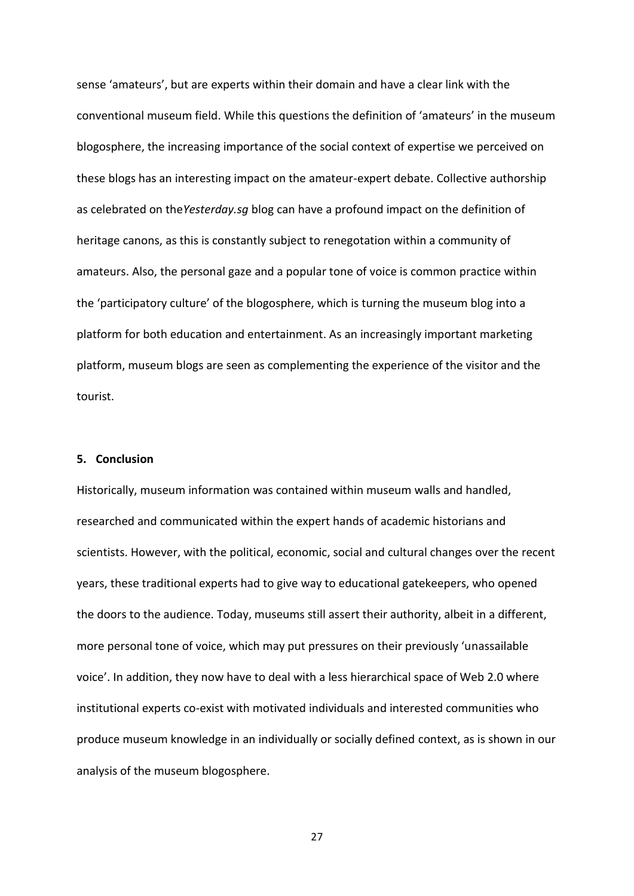sense 'amateurs', but are experts within their domain and have a clear link with the conventional museum field. While this questions the definition of 'amateurs' in the museum blogosphere, the increasing importance of the social context of expertise we perceived on these blogs has an interesting impact on the amateur-expert debate. Collective authorship as celebrated on the*Yesterday.sg* blog can have a profound impact on the definition of heritage canons, as this is constantly subject to renegotation within a community of amateurs. Also, the personal gaze and a popular tone of voice is common practice within the 'participatory culture' of the blogosphere, which is turning the museum blog into a platform for both education and entertainment. As an increasingly important marketing platform, museum blogs are seen as complementing the experience of the visitor and the tourist.

## **5. Conclusion**

Historically, museum information was contained within museum walls and handled, researched and communicated within the expert hands of academic historians and scientists. However, with the political, economic, social and cultural changes over the recent years, these traditional experts had to give way to educational gatekeepers, who opened the doors to the audience. Today, museums still assert their authority, albeit in a different, more personal tone of voice, which may put pressures on their previously 'unassailable voice'. In addition, they now have to deal with a less hierarchical space of Web 2.0 where institutional experts co-exist with motivated individuals and interested communities who produce museum knowledge in an individually or socially defined context, as is shown in our analysis of the museum blogosphere.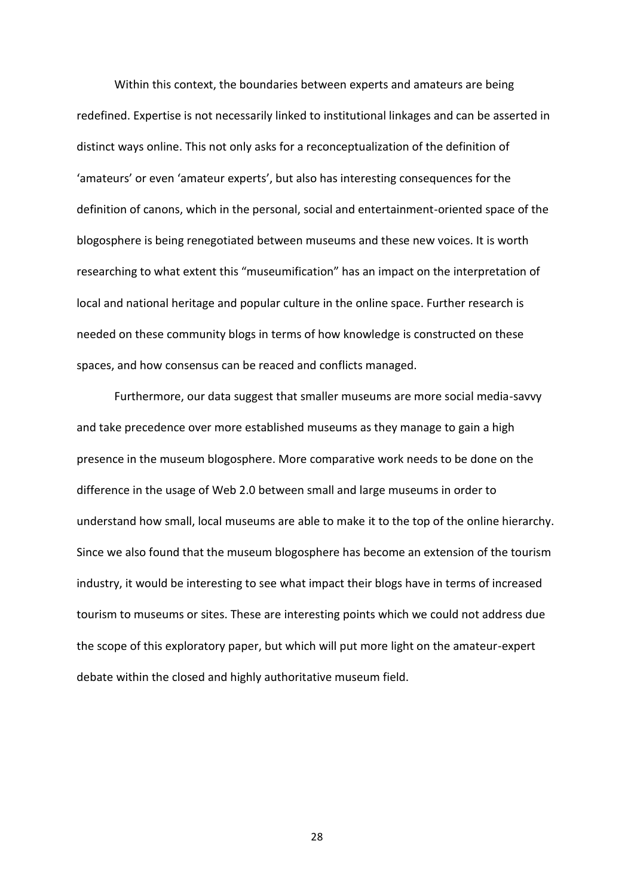Within this context, the boundaries between experts and amateurs are being redefined. Expertise is not necessarily linked to institutional linkages and can be asserted in distinct ways online. This not only asks for a reconceptualization of the definition of 'amateurs' or even 'amateur experts', but also has interesting consequences for the definition of canons, which in the personal, social and entertainment-oriented space of the blogosphere is being renegotiated between museums and these new voices. It is worth researching to what extent this "museumification" has an impact on the interpretation of local and national heritage and popular culture in the online space. Further research is needed on these community blogs in terms of how knowledge is constructed on these spaces, and how consensus can be reaced and conflicts managed.

Furthermore, our data suggest that smaller museums are more social media-savvy and take precedence over more established museums as they manage to gain a high presence in the museum blogosphere. More comparative work needs to be done on the difference in the usage of Web 2.0 between small and large museums in order to understand how small, local museums are able to make it to the top of the online hierarchy. Since we also found that the museum blogosphere has become an extension of the tourism industry, it would be interesting to see what impact their blogs have in terms of increased tourism to museums or sites. These are interesting points which we could not address due the scope of this exploratory paper, but which will put more light on the amateur-expert debate within the closed and highly authoritative museum field.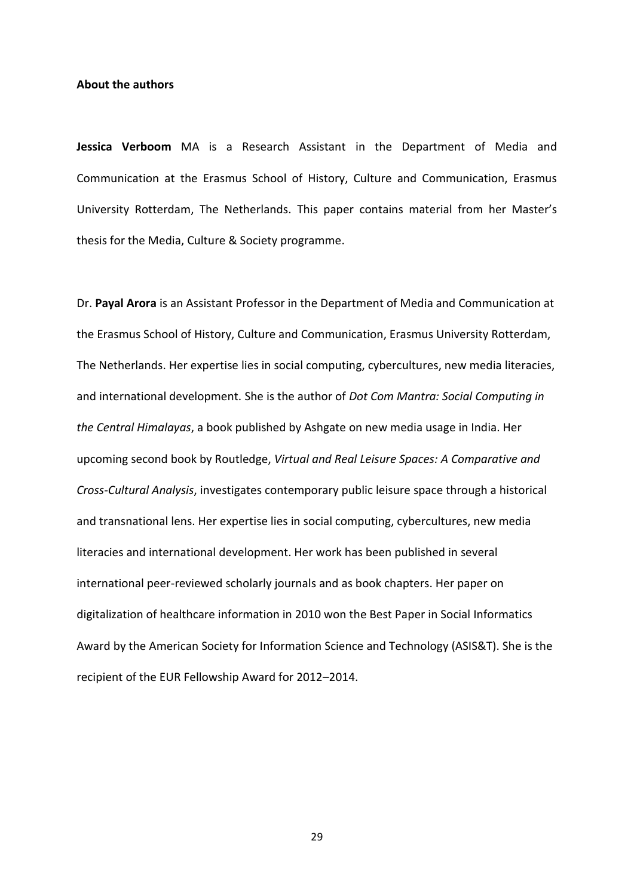#### **About the authors**

**Jessica Verboom** MA is a Research Assistant in the Department of Media and Communication at the Erasmus School of History, Culture and Communication, Erasmus University Rotterdam, The Netherlands. This paper contains material from her Master's thesis for the Media, Culture & Society programme.

Dr. **Payal Arora** is an Assistant Professor in the Department of Media and Communication at the Erasmus School of History, Culture and Communication, Erasmus University Rotterdam, The Netherlands. Her expertise lies in social computing, cybercultures, new media literacies, and international development. She is the author of *Dot Com Mantra: Social Computing in the Central Himalayas*, a book published by Ashgate on new media usage in India. Her upcoming second book by Routledge, *Virtual and Real Leisure Spaces: A Comparative and Cross-Cultural Analysis*, investigates contemporary public leisure space through a historical and transnational lens. Her expertise lies in social computing, cybercultures, new media literacies and international development. Her work has been published in several international peer-reviewed scholarly journals and as book chapters. Her paper on digitalization of healthcare information in 2010 won the Best Paper in Social Informatics Award by the American Society for Information Science and Technology (ASIS&T). She is the recipient of the EUR Fellowship Award for 2012–2014.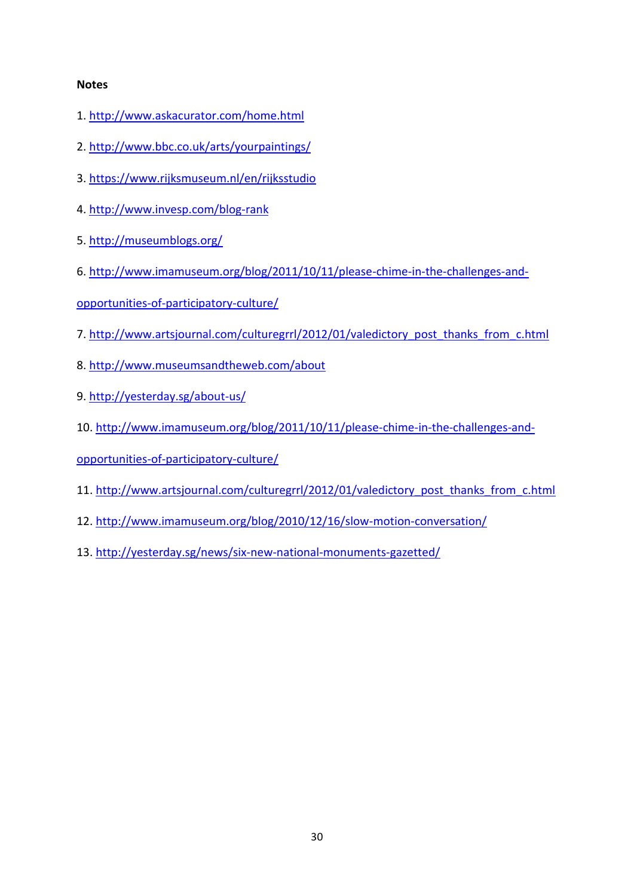## **Notes**

- 1.<http://www.askacurator.com/home.html>
- 2.<http://www.bbc.co.uk/arts/yourpaintings/>
- 3.<https://www.rijksmuseum.nl/en/rijksstudio>
- 4.<http://www.invesp.com/blog-rank>
- 5.<http://museumblogs.org/>
- 6. [http://www.imamuseum.org/blog/2011/10/11/please-chime-in-the-challenges-and-](http://www.imamuseum.org/blog/2011/10/11/please-chime-in-the-challenges-and-opportunities-of-participatory-culture/)
- [opportunities-of-participatory-culture/](http://www.imamuseum.org/blog/2011/10/11/please-chime-in-the-challenges-and-opportunities-of-participatory-culture/)
- 7. [http://www.artsjournal.com/culturegrrl/2012/01/valedictory\\_post\\_thanks\\_from\\_c.html](http://www.artsjournal.com/culturegrrl/2012/01/valedictory_post_thanks_from_c.html)
- 8.<http://www.museumsandtheweb.com/about>
- 9.<http://yesterday.sg/about-us/>
- 10. [http://www.imamuseum.org/blog/2011/10/11/please-chime-in-the-challenges-and-](http://www.imamuseum.org/blog/2011/10/11/please-chime-in-the-challenges-and-opportunities-of-participatory-culture/)
- [opportunities-of-participatory-culture/](http://www.imamuseum.org/blog/2011/10/11/please-chime-in-the-challenges-and-opportunities-of-participatory-culture/)
- 11. [http://www.artsjournal.com/culturegrrl/2012/01/valedictory\\_post\\_thanks\\_from\\_c.html](http://www.artsjournal.com/culturegrrl/2012/01/valedictory_post_thanks_from_c.html)
- 12.<http://www.imamuseum.org/blog/2010/12/16/slow-motion-conversation/>
- 13.<http://yesterday.sg/news/six-new-national-monuments-gazetted/>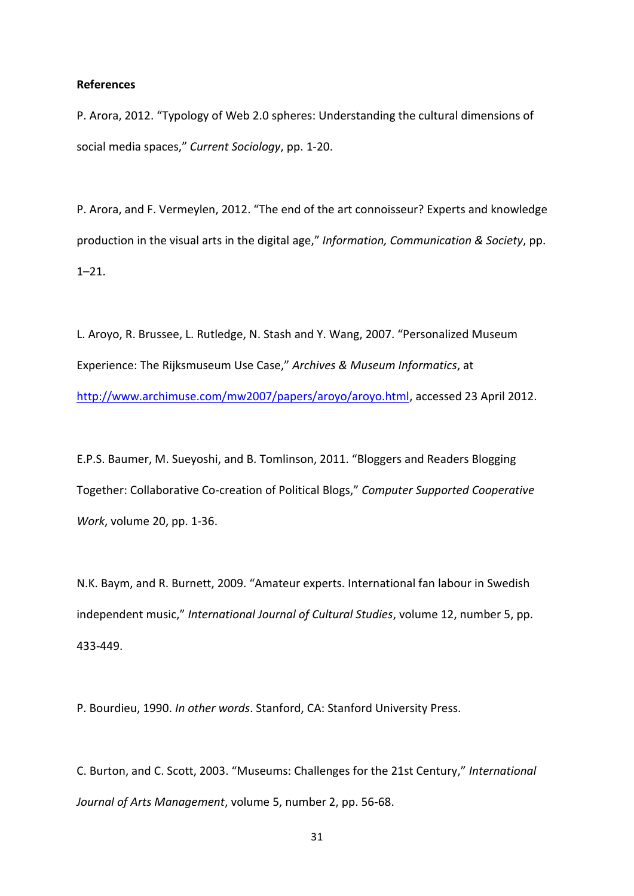## **References**

P. Arora, 2012. "Typology of Web 2.0 spheres: Understanding the cultural dimensions of social media spaces," *Current Sociology*, pp. 1-20.

P. Arora, and F. Vermeylen, 2012. "The end of the art connoisseur? Experts and knowledge production in the visual arts in the digital age," *Information, Communication & Society*, pp. 1–21.

L. Aroyo, R. Brussee, L. Rutledge, N. Stash and Y. Wang, 2007. "Personalized Museum Experience: The Rijksmuseum Use Case," *Archives & Museum Informatics*, at [http://www.archimuse.com/mw2007/papers/aroyo/aroyo.html,](http://www.archimuse.com/mw2007/papers/aroyo/aroyo.html) accessed 23 April 2012.

E.P.S. Baumer, M. Sueyoshi, and B. Tomlinson, 2011. "Bloggers and Readers Blogging Together: Collaborative Co-creation of Political Blogs," *Computer Supported Cooperative Work*, volume 20, pp. 1-36.

N.K. Baym, and R. Burnett, 2009. "Amateur experts. International fan labour in Swedish independent music," *International Journal of Cultural Studies*, volume 12, number 5, pp. 433-449.

P. Bourdieu, 1990. *In other words*. Stanford, CA: Stanford University Press.

C. Burton, and C. Scott, 2003. "Museums: Challenges for the 21st Century," *International Journal of Arts Management*, volume 5, number 2, pp. 56-68.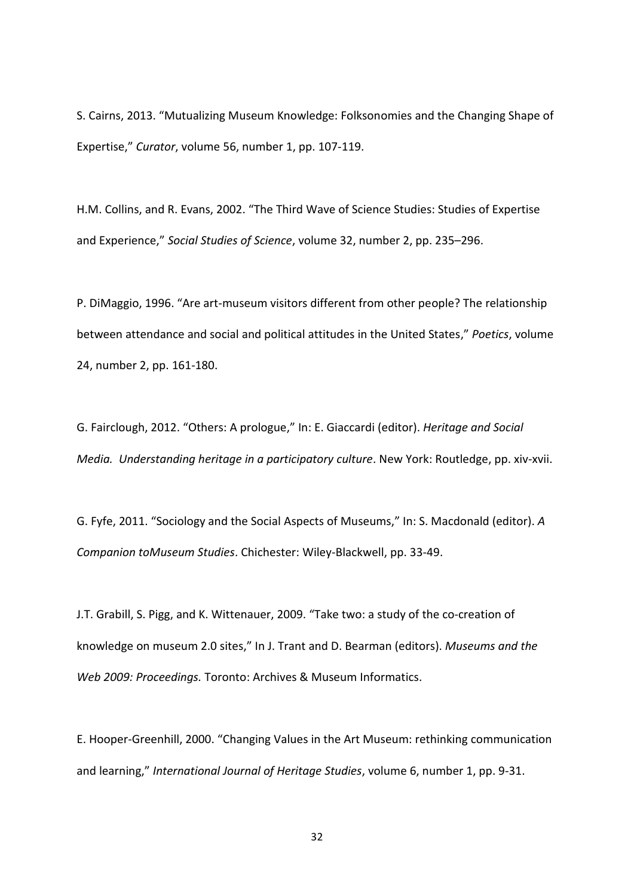S. Cairns, 2013. "Mutualizing Museum Knowledge: Folksonomies and the Changing Shape of Expertise," *Curator*, volume 56, number 1, pp. 107-119.

H.M. Collins, and R. Evans, 2002. "The Third Wave of Science Studies: Studies of Expertise and Experience," *Social Studies of Science*, volume 32, number 2, pp. 235–296.

P. DiMaggio, 1996. "Are art-museum visitors different from other people? The relationship between attendance and social and political attitudes in the United States," *Poetics*, volume 24, number 2, pp. 161-180.

G. Fairclough, 2012. "Others: A prologue," In: E. Giaccardi (editor). *Heritage and Social Media. Understanding heritage in a participatory culture*. New York: Routledge, pp. xiv-xvii.

G. Fyfe, 2011. "Sociology and the Social Aspects of Museums," In: S. Macdonald (editor). *A Companion toMuseum Studies*. Chichester: Wiley-Blackwell, pp. 33-49.

J.T. Grabill, S. Pigg, and K. Wittenauer, 2009. "Take two: a study of the co-creation of knowledge on museum 2.0 sites," In J. Trant and D. Bearman (editors). *Museums and the Web 2009: Proceedings.* Toronto: Archives & Museum Informatics.

E. Hooper-Greenhill, 2000. "Changing Values in the Art Museum: rethinking communication and learning," *International Journal of Heritage Studies*, volume 6, number 1, pp. 9-31.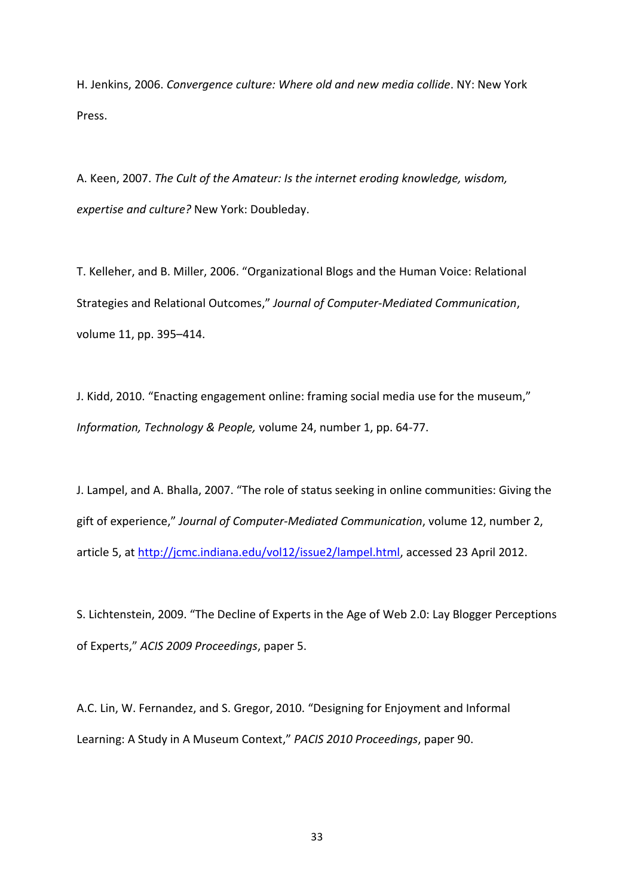H. Jenkins, 2006. *Convergence culture: Where old and new media collide*. NY: New York Press.

A. Keen, 2007. *The Cult of the Amateur: Is the internet eroding knowledge, wisdom, expertise and culture?* New York: Doubleday.

T. Kelleher, and B. Miller, 2006. "Organizational Blogs and the Human Voice: Relational Strategies and Relational Outcomes," *Journal of Computer-Mediated Communication*, volume 11, pp. 395–414.

J. Kidd, 2010. "Enacting engagement online: framing social media use for the museum," *Information, Technology & People,* volume 24, number 1, pp. 64-77.

J. Lampel, and A. Bhalla, 2007. "The role of status seeking in online communities: Giving the gift of experience," *Journal of Computer-Mediated Communication*, volume 12, number 2, article 5, at [http://jcmc.indiana.edu/vol12/issue2/lampel.html,](http://jcmc.indiana.edu/vol12/issue2/lampel.html) accessed 23 April 2012.

S. Lichtenstein, 2009. "The Decline of Experts in the Age of Web 2.0: Lay Blogger Perceptions of Experts," *ACIS 2009 Proceedings*, paper 5.

A.C. Lin, W. Fernandez, and S. Gregor, 2010. "Designing for Enjoyment and Informal Learning: A Study in A Museum Context," *PACIS 2010 Proceedings*, paper 90.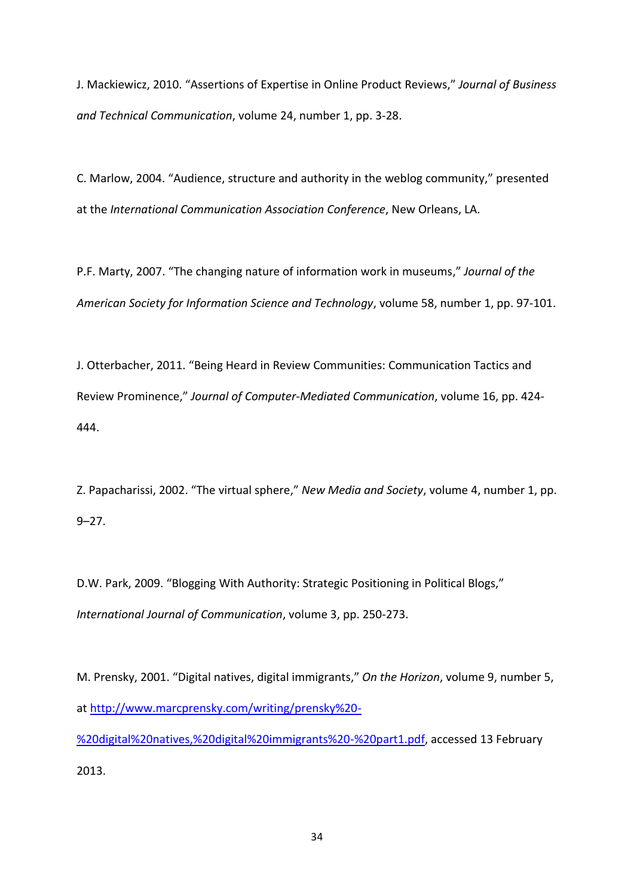J. Mackiewicz, 2010. "Assertions of Expertise in Online Product Reviews," *Journal of Business and Technical Communication*, volume 24, number 1, pp. 3-28.

C. Marlow, 2004. "Audience, structure and authority in the weblog community," presented at the *International Communication Association Conference*, New Orleans, LA.

P.F. Marty, 2007. "The changing nature of information work in museums," *Journal of the American Society for Information Science and Technology*, volume 58, number 1, pp. 97-101.

J. Otterbacher, 2011. "Being Heard in Review Communities: Communication Tactics and Review Prominence," *Journal of Computer-Mediated Communication*, volume 16, pp. 424- 444.

Z. Papacharissi, 2002. "The virtual sphere," *New Media and Society*, volume 4, number 1, pp. 9–27.

D.W. Park, 2009. "Blogging With Authority: Strategic Positioning in Political Blogs," *International Journal of Communication*, volume 3, pp. 250-273.

M. Prensky, 2001. "Digital natives, digital immigrants," *On the Horizon*, volume 9, number 5, at [http://www.marcprensky.com/writing/prensky%20-](http://www.marcprensky.com/writing/prensky%20-%20digital%20natives,%20digital%20immigrants%20-%20part1.pdf) [%20digital%20natives,%20digital%20immigrants%20-%20part1.pdf,](http://www.marcprensky.com/writing/prensky%20-%20digital%20natives,%20digital%20immigrants%20-%20part1.pdf) accessed 13 February

2013.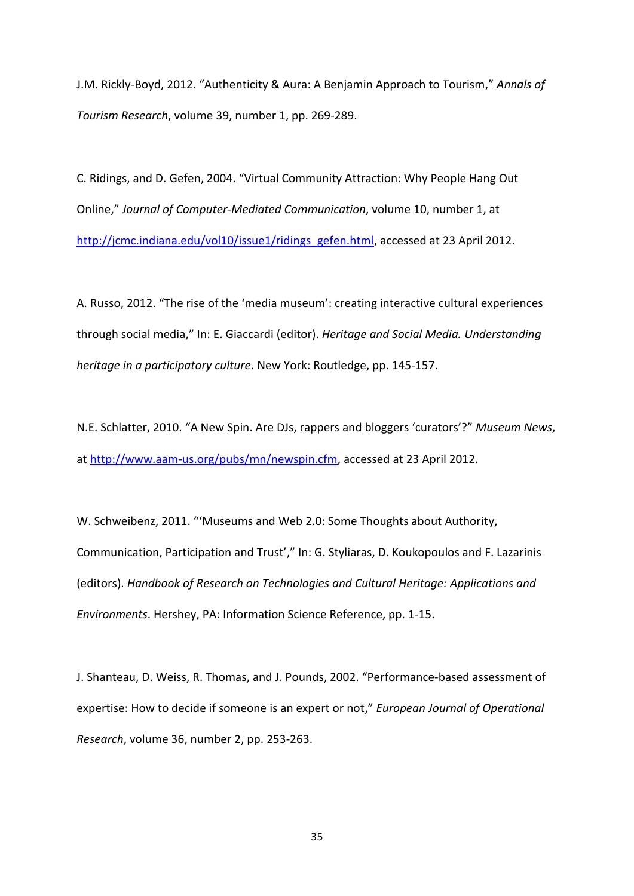J.M. Rickly-Boyd, 2012. "Authenticity & Aura: A Benjamin Approach to Tourism," *Annals of Tourism Research*, volume 39, number 1, pp. 269-289.

C. Ridings, and D. Gefen, 2004. "Virtual Community Attraction: Why People Hang Out Online," *Journal of Computer-Mediated Communication*, volume 10, number 1, at [http://jcmc.indiana.edu/vol10/issue1/ridings\\_gefen.html,](http://jcmc.indiana.edu/vol10/issue1/ridings_gefen.html) accessed at 23 April 2012.

A. Russo, 2012. "The rise of the 'media museum': creating interactive cultural experiences through social media," In: E. Giaccardi (editor). *Heritage and Social Media. Understanding heritage in a participatory culture*. New York: Routledge, pp. 145-157.

N.E. Schlatter, 2010. "A New Spin. Are DJs, rappers and bloggers 'curators'?" *Museum News*, at [http://www.aam-us.org/pubs/mn/newspin.cfm,](http://www.aam-us.org/pubs/mn/newspin.cfm) accessed at 23 April 2012.

W. Schweibenz, 2011. "'Museums and Web 2.0: Some Thoughts about Authority, Communication, Participation and Trust'," In: G. Styliaras, D. Koukopoulos and F. Lazarinis (editors). *Handbook of Research on Technologies and Cultural Heritage: Applications and Environments*. Hershey, PA: Information Science Reference, pp. 1-15.

J. Shanteau, D. Weiss, R. Thomas, and J. Pounds, 2002. "Performance-based assessment of expertise: How to decide if someone is an expert or not," *European Journal of Operational Research*, volume 36, number 2, pp. 253-263.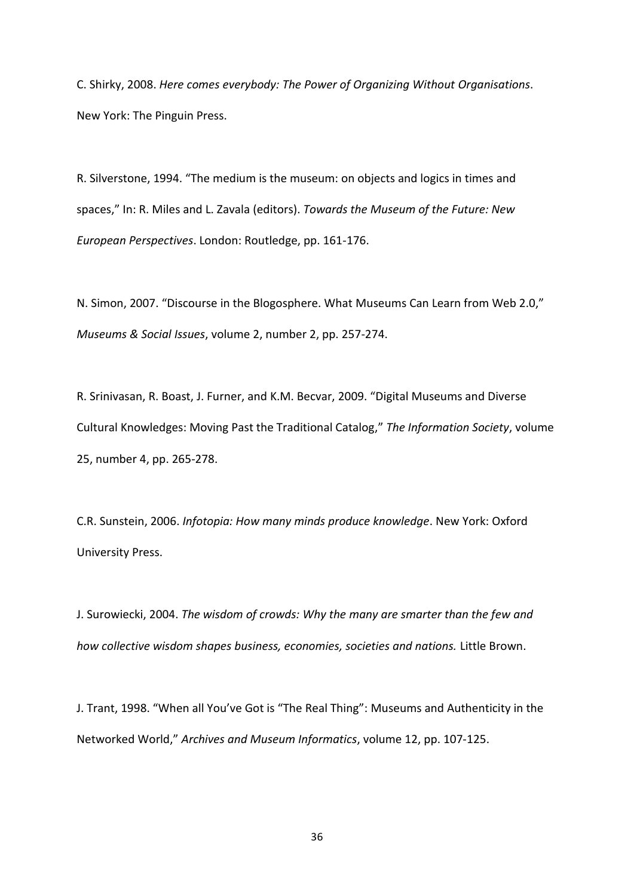C. Shirky, 2008. *Here comes everybody: The Power of Organizing Without Organisations*. New York: The Pinguin Press.

R. Silverstone, 1994. "The medium is the museum: on objects and logics in times and spaces," In: R. Miles and L. Zavala (editors). *Towards the Museum of the Future: New European Perspectives*. London: Routledge, pp. 161-176.

N. Simon, 2007. "Discourse in the Blogosphere. What Museums Can Learn from Web 2.0," *Museums & Social Issues*, volume 2, number 2, pp. 257-274.

R. Srinivasan, R. Boast, J. Furner, and K.M. Becvar, 2009. "Digital Museums and Diverse Cultural Knowledges: Moving Past the Traditional Catalog," *The Information Society*, volume 25, number 4, pp. 265-278.

C.R. Sunstein, 2006. *Infotopia: How many minds produce knowledge*. New York: Oxford University Press.

J. Surowiecki, 2004. *The wisdom of crowds: Why the many are smarter than the few and how collective wisdom shapes business, economies, societies and nations.* Little Brown.

J. Trant, 1998. "When all You've Got is "The Real Thing": Museums and Authenticity in the Networked World," *Archives and Museum Informatics*, volume 12, pp. 107-125.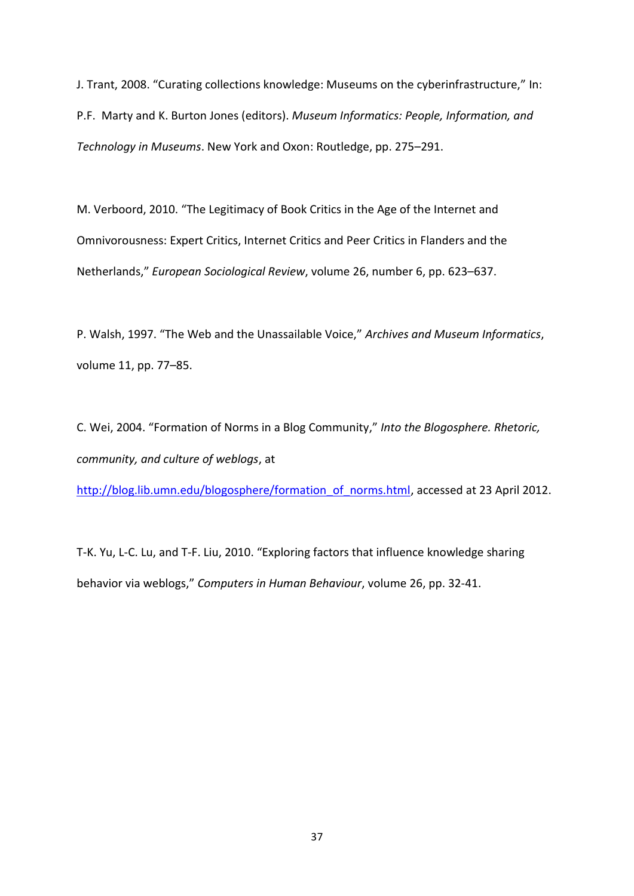J. Trant, 2008. "Curating collections knowledge: Museums on the cyberinfrastructure," In: P.F. Marty and K. Burton Jones (editors). *Museum Informatics: People, Information, and Technology in Museums*. New York and Oxon: Routledge, pp. 275–291.

M. Verboord, 2010. "The Legitimacy of Book Critics in the Age of the Internet and Omnivorousness: Expert Critics, Internet Critics and Peer Critics in Flanders and the Netherlands," *European Sociological Review*, volume 26, number 6, pp. 623–637.

P. Walsh, 1997. "The Web and the Unassailable Voice," *Archives and Museum Informatics*, volume 11, pp. 77–85.

C. Wei, 2004. "Formation of Norms in a Blog Community," *Into the Blogosphere. Rhetoric, community, and culture of weblogs*, at

[http://blog.lib.umn.edu/blogosphere/formation\\_of\\_norms.html,](http://blog.lib.umn.edu/blogosphere/formation_of_norms.html) accessed at 23 April 2012.

T-K. Yu, L-C. Lu, and T-F. Liu, 2010. "Exploring factors that influence knowledge sharing behavior via weblogs," *Computers in Human Behaviour*, volume 26, pp. 32-41.